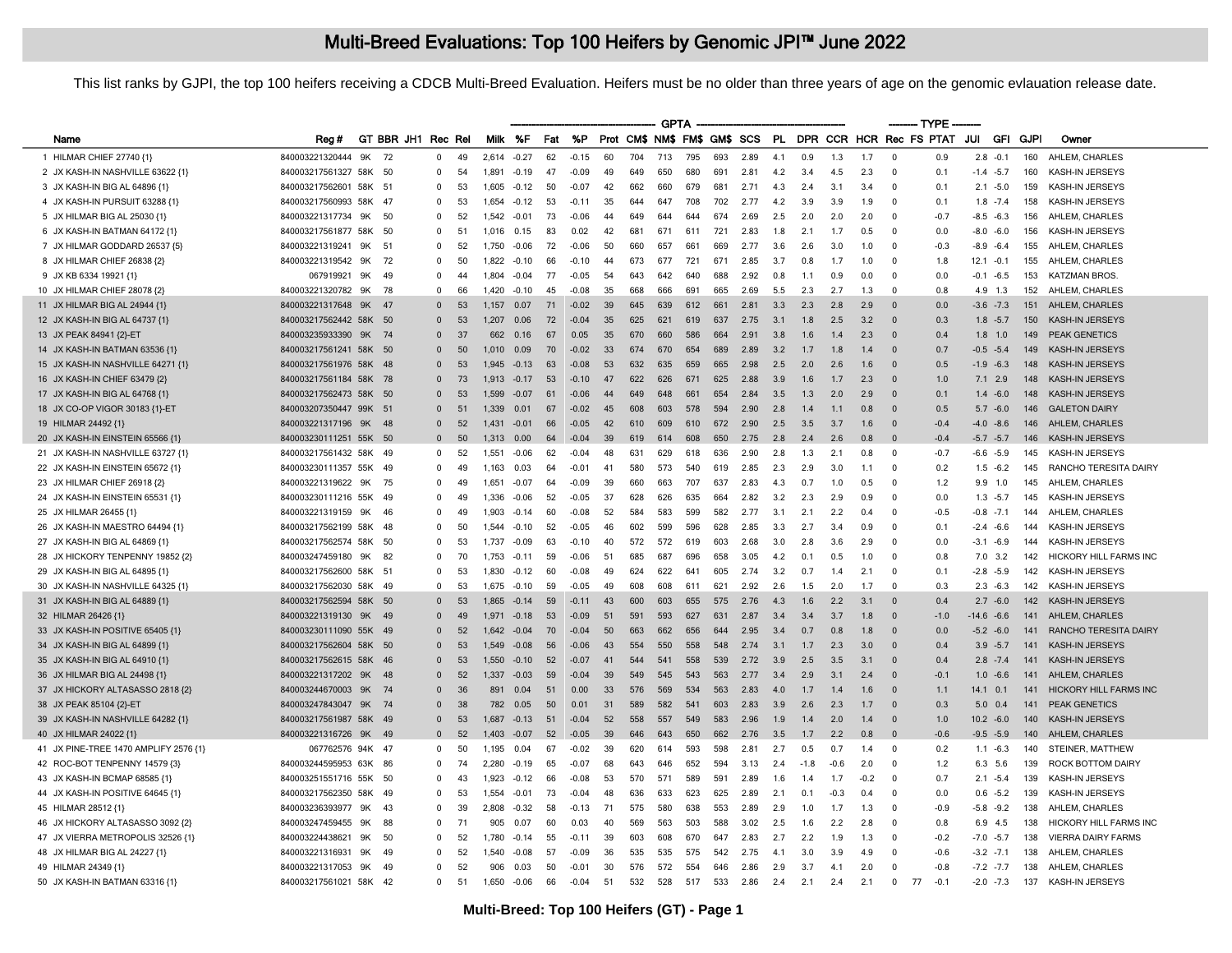This list ranks by GJPI, the top 100 heifers receiving a CDCB Multi-Breed Evaluation. Heifers must be no older than three years of age on the genomic evlauation release date.

| Milk %F<br>%P<br>Prot CM\$ NM\$ FM\$ GM\$ SCS<br><b>PL</b><br>DPR CCR HCR Rec FS PTAT<br>JUI<br><b>GFI</b><br>GT BBR JH1 Rec Rel<br>Fat<br>GJPI<br>Owner<br>Rea#<br>Name<br>1 HILMAR CHIEF 27740 {1}<br>840003221320444<br>72<br>704<br>713<br>795<br>AHLEM, CHARLES<br>9K<br>0<br>49<br>2,614<br>$-0.27$<br>62<br>$-0.15$<br>60<br>693<br>2.89<br>4.1<br>0.9<br>1.3<br>1.7<br>$\mathbf{0}$<br>0.9<br>$2.8 - 0.1$<br>160<br>$-0.09$<br>49<br>650<br>691<br>160<br>2 JX KASH-IN NASHVILLE 63622 {1}<br>840003217561327 58K<br>50<br>0<br>54<br>1,891<br>$-0.19$<br>47<br>649<br>680<br>2.81<br>4.2<br>3.4<br>4.5<br>2.3<br>$\mathbf{0}$<br>0.1<br>$-1.4 -5.7$<br>KASH-IN JERSEYS<br>42<br>681<br>3 JX KASH-IN BIG AL 64896 {1}<br>840003217562601 58K 51<br>53<br>1605<br>$-0.12$<br>50<br>$-0.07$<br>662<br>660<br>679<br>2.71<br>4.3<br>2.4<br>3.1<br>3.4<br>$\mathbf{0}$<br>0 1<br>$2.1 - 5.0$<br>159<br>KASH-IN JERSEYS<br>0<br>4 JX KASH-IN PURSUIT 63288 {1}<br>840003217560993 58K<br>-47<br>53<br>1.654<br>$-0.12$<br>53<br>$-0.11$<br>35<br>647<br>708<br>702<br>2.77<br>4.2<br>3.9<br>3.9<br>1.9<br>$\Omega$<br>0.1<br>$1.8 - 7.4$<br>158<br>KASH-IN JERSEYS<br>$\Omega$<br>644<br>5 JX HILMAR BIG AL 25030 {1}<br>840003221317734<br>9K<br>50<br>52<br>73<br>$-0.06$<br>44<br>644<br>644<br>674<br>2.69<br>2.5<br>2.0<br>2.0<br>2.0<br>$\Omega$<br>$-0.7$<br>$-8.5 -6.3$<br>156<br>AHLEM, CHARLES<br>$\Omega$<br>1.542<br>$-0.01$<br>649<br>83<br>42<br>721<br>6 JX KASH-IN BATMAN 64172 {1]<br>840003217561877<br>58K<br>-50<br>51<br>0.15<br>0.02<br>681<br>671<br>611<br>2.83<br>1.8<br>2.1<br>0.5<br>$\mathbf 0$<br>0.0<br>$-8.0 - 6.0$<br>156<br>KASH-IN JERSEYS<br>0<br>1.016<br>1.7<br>7 JX HILMAR GODDARD 26537 {5}<br>840003221319241<br>9K<br>72<br>50<br>669<br>51<br>52<br>1.750<br>$-0.06$<br>$-0.06$<br>657<br>661<br>2.77<br>3.6<br>26<br>3.0<br>1.0<br>$\Omega$<br>$-0.3$<br>$-8.9 - 6.4$<br>155<br>AHLEM, CHARLES<br>$\Omega$<br>660<br>8 JX HILMAR CHIEF 26838 {2}<br>840003221319542<br>9K<br>72<br>721<br>671<br>AHLEM, CHARLES<br>$\Omega$<br>50<br>1.822<br>$-0.10$<br>66<br>$-0.10$<br>44<br>673<br>677<br>2.85<br>3.7<br>0.8<br>1.7<br>1.0<br>$\mathbf{0}$<br>1.8<br>$12.1 - 0.1$<br>155<br>9 JX KB 6334 19921 {1}<br>067919921<br>9K<br>49<br>$\mathbf 0$<br>77<br>$-0.05$<br>54<br>688<br>2.92<br>0.9<br>0.0<br>$-0.1 -6.5$<br>153<br><b>KATZMAN BROS.</b><br>44<br>1.804<br>$-0.04$<br>643<br>642<br>640<br>0.8<br>1.1<br>$\Omega$<br>0.0<br>840003221320782<br>78<br>$-0.08$<br>2.69<br>10 JX HILMAR CHIEF 28078 {2}<br>9K<br>$\Omega$<br>45<br>35<br>666<br>691<br>665<br>5.5<br>2.3<br>2.7<br>1.3<br>$\Omega$<br>0.8<br>4.9 1.3<br>152<br>AHLEM, CHARLES<br>-66<br>1.420<br>$-0.10$<br>668<br>11 JX HILMAR BIG AL 24944 {1}<br>840003221317648<br>9K<br>47<br>53<br>1.157<br>71<br>$-0.02$<br>39<br>639<br>612<br>661<br>2.81<br>3.3<br>2.3<br>2.8<br>2.9<br>$\Omega$<br>0.0<br>$-3.6 - 7.3$<br>151<br>AHLEM, CHARLES<br>$\Omega$<br>0.07<br>645<br>12 JX KASH-IN BIG AL 64737 {1}<br>840003217562442 58K 50<br>53<br>72<br>$-0.04$<br>35<br>621<br>619<br>637<br>2.75<br>3.1<br>1.8<br>2.5<br>3.2<br>$\overline{0}$<br>0.3<br>$1.8 - 5.7$<br>150<br>KASH-IN JERSEYS<br>$\Omega$<br>1.207<br>0.06<br>625<br>13 JX PEAK 84941 {2}-ET<br>840003235933390<br>9K<br>74<br>-37<br>662<br>0.16<br>67<br>0.05<br>35<br>670<br>660<br>586<br>664<br>2.91<br>3.8<br>1.6<br>1.4<br>2.3<br>$\Omega$<br>0.4<br>$1.8$ 1.0<br>149<br><b>PEAK GENETICS</b><br>$\mathbf 0$<br>840003217561241 58K 50<br>689<br>14 JX KASH-IN BATMAN 63536 {1}<br>50<br>70<br>$-0.02$<br>33<br>670<br>654<br>2.89<br>3.2<br>1.4<br>$-0.5 -5.4$<br>149<br><b>KASH-IN JERSEYS</b><br>$\Omega$<br>1 0 1 0<br>0.09<br>674<br>1.7<br>1.8<br>$\Omega$<br>0.7<br>15 JX KASH-IN NASHVILLE 64271 {1}<br>840003217561976 58K<br>53<br>659<br>665<br>2.5<br><b>KASH-IN JERSEYS</b><br>- 48<br>53<br>1.945<br>63<br>$-0.08$<br>632<br>635<br>2.98<br>2.0<br>2.6<br>1.6<br>$\Omega$<br>0.5<br>$-1.9 - 6.3$<br>148<br>$\Omega$<br>$-0.13$<br>16 JX KASH-IN CHIEF 63479 {2}<br>840003217561184 58K 78<br>53<br>47<br>626<br>671<br>625<br>2.88<br>3.9<br>1.7<br>2.3<br>$7.1$ 2.9<br>148<br>KASH-IN JERSEYS<br>$\Omega$<br>73<br>1.913<br>$-0.17$<br>$-0.10$<br>622<br>1.6<br>$\Omega$<br>1.0<br>840003217562473 58K<br>1,599<br>$-0.06$<br>44<br>654<br>2.84<br>2.0<br>2.9<br>148<br>KASH-IN JERSEYS<br>17 JX KASH-IN BIG AL 64768 {1]<br>-50<br>$\mathbf 0$<br>53<br>$-0.07$<br>61<br>649<br>648<br>661<br>3.5<br>1.3<br>$\mathbf{0}$<br>0.1<br>$1.4 - 6.0$<br>840003207350447 99K 51<br>1,339<br>$-0.02$<br>603<br>578<br>594<br>2.90<br>0.8<br>146<br><b>GALETON DAIRY</b><br>18 JX CO-OP VIGOR 30183 {1}-ET<br>$\Omega$<br>51<br>0.01<br>67<br>45<br>608<br>2.8<br>1.4<br>1.1<br>$\Omega$<br>0.5<br>$5.7 - 6.0$<br>3.7<br>19 HILMAR 24492 {1}<br>840003221317196<br>9K<br>48<br>$\Omega$<br>52<br>1 4 3 1<br>$-0.01$<br>66<br>$-0.05$<br>42<br>609<br>610<br>672<br>2.90<br>2.5<br>3.5<br>1.6<br>$\overline{0}$<br>$-0.4$<br>$-4.0 -8.6$<br>146<br>AHLEM, CHARLES<br>610<br>840003230111251 55K 50<br>50<br>0.00<br>64<br>$-0.04$<br>39<br>614<br>608<br>650<br>2.75<br>2.8<br>2.4<br>2.6<br>0.8<br>$\Omega$<br>$-0.4$<br>$-5.7 -5.7$<br>146<br>KASH-IN JERSEYS<br>$\mathbf 0$<br>1.313<br>619<br>840003217561432 58K 49<br>52<br>62<br>$-0.04$<br>48<br>629<br>618<br>636<br>2.1<br>0.8<br>$\mathbf{0}$<br>$-6.6 -5.9$<br>KASH-IN JERSEYS<br>$\Omega$<br>1.551<br>$-0.06$<br>631<br>2.90<br>2.8<br>1.3<br>$-0.7$<br>145<br>840003230111357 55K<br>41<br>580<br>573<br>540<br>3.0<br>$\Omega$<br>RANCHO TERESITA DAIRY<br>49<br>$\Omega$<br>49<br>1.163<br>0.03<br>64<br>$-0.01$<br>619<br>2.85<br>2.3<br>2.9<br>0.2<br>$1.5 - 6.2$<br>145<br>1.1<br>840003221319622<br>9K<br>75<br>64<br>$-0.09$<br>39<br>660<br>663<br>707<br>637<br>2.83<br>4.3<br>0.7<br>0.5<br>$\Omega$<br>$9.9$ 1.0<br>145<br>AHLEM, CHARLES<br>$\Omega$<br>49<br>1.651<br>$-0.07$<br>1.0<br>1.2<br>24 JX KASH-IN EINSTEIN 65531 {1}<br>840003230111216 55K<br>49<br>1,336<br>$-0.06$<br>52<br>$-0.05$<br>-37<br>628<br>626<br>635<br>664<br>2.82<br>3.2<br>2.3<br>2.9<br>0.9<br>$\mathbf{0}$<br>0.0<br>$1.3 - 5.7$<br>145<br>KASH-IN JERSEYS<br>0<br>4 <sup>c</sup><br>$-0.08$<br>52<br>583<br>599<br>582<br>2.1<br>$-0.5$<br>$-0.8 - 7.1$<br>25 JX HILMAR 26455 {1}<br>840003221319159<br>9K<br>46<br>$\mathbf 0$<br>1.903<br>$-0.14$<br>60<br>584<br>2.77<br>3.1<br>2.2<br>0.4<br>$\Omega$<br>144<br>AHLEM, CHARLES<br>49<br>840003217562199 58K<br>-48<br>$\Omega$<br>50<br>$-0.10$<br>52<br>$-0.05$<br>46<br>599<br>596<br>628<br>2.85<br>3.3<br>2.7<br>3.4<br>0.9<br>$\Omega$<br>0.1<br>$-2.4 -6.6$<br>144<br>KASH-IN JERSEYS<br>1.544<br>602<br>63<br>40<br>3.6<br>840003217562574 58K<br>- 50<br>$\Omega$<br>53<br>1.737<br>$-0.09$<br>$-0.10$<br>572<br>572<br>619<br>603<br>2.68<br>3.0<br>2.8<br>2.9<br>$\Omega$<br>0.0<br>$-3.1 -6.9$<br>144<br>KASH-IN JERSEYS<br>70<br>59<br>51<br>696<br>658<br>0.5<br>1.0<br>$\Omega$<br>840003247459180<br>9K<br>- 82<br>$\Omega$<br>1,753<br>$-0.11$<br>$-0.06$<br>685<br>687<br>3.05<br>4.2<br>$0$ .<br>0.8<br>$7.0$ 3.2<br>142<br>HICKORY HILL FARMS INC<br>840003217562600 58K<br>49<br>605<br>KASH-IN JERSEYS<br>- 51<br>53<br>$-0.12$<br>60<br>$-0.08$<br>624<br>622<br>641<br>2.74<br>3.2<br>0.7<br>1.4<br>2.1<br>$\Omega$<br>0.1<br>$-2.8 - 5.9$<br>142<br>$\Omega$<br>1.830<br>840003217562030 58K 49<br>$\Omega$<br>53<br>1.675<br>$-0.10$<br>59<br>$-0.05$<br>49<br>608<br>608<br>611<br>621<br>2.92<br>2.6<br>1.5<br>2.0<br>1.7<br>$\Omega$<br>0.3<br>$2.3 - 6.3$<br>142<br>KASH-IN JERSEYS<br>840003217562594<br>58K<br>50<br>53<br>1,865<br>59<br>$-0.11$<br>43<br>600<br>603<br>655<br>575<br>2.76<br>4.3<br>1.6<br>2.2<br>3.1<br>$\mathbf 0$<br>0.4<br>$2.7 - 6.0$<br>142<br>KASH-IN JERSEYS<br>$\mathbf 0$<br>$-0.14$<br>840003221319130<br>53<br>$-0.09$<br>51<br>591<br>593<br>627<br>631<br>3.7<br>9K<br>49<br>$\mathbf{0}$<br>1.971<br>2.87<br>3.4<br>3.4<br>1.8<br>$\Omega$<br>$-1.0$<br>-14.6 -6.6<br>141<br>AHLEM, CHARLES<br>49<br>$-0.18$<br>840003230111090 55K 49<br>50<br><b>RANCHO TERESITA DAIRY</b><br>$\Omega$<br>52<br>70<br>$-0.04$<br>662<br>656<br>644<br>2.95<br>3.4<br>0.7<br>0.8<br>1.8<br>$\overline{0}$<br>$-5.2 -6.0$<br>141<br>1642<br>$-0.04$<br>663<br>0.0<br>43<br>2.3<br>3.0<br>840003217562604 58K 50<br>$\Omega$<br>53<br>1.549<br>$-0.08$<br>56<br>$-0.06$<br>554<br>550<br>558<br>548<br>2.74<br>3.1<br>1.7<br>$\Omega$<br>0.4<br>$3.9 - 5.7$<br>141<br>KASH-IN JERSEYS<br>52<br>558<br>539<br>2.5<br>3.5<br>3.1<br>840003217562615 58K 46<br>$\Omega$<br>53<br>1,550<br>$-0.10$<br>$-0.07$<br>41<br>544<br>541<br>2.72<br>3.9<br>$\Omega$<br>0.4<br>$2.8 - 7.4$<br>141<br>KASH-IN JERSEYS<br>39<br>563<br>840003221317202<br>9K<br>52<br>59<br>549<br>545<br>543<br>2.9<br>3.1<br>2.4<br>$1.0 - 6.6$<br>AHLEM, CHARLES<br>-48<br>$\mathbf 0$<br>1.337<br>$-0.03$<br>$-0.04$<br>2.77<br>3.4<br>$\Omega$<br>$-0.1$<br>141<br>840003244670003<br>9K<br>74<br>0.00<br>33<br>576<br>569<br>534<br>563<br>2.83<br>4.0<br>1.6<br>$\overline{0}$<br>$14.1$ 0.1<br>141<br><b>HICKORY HILL FARMS INC</b><br>$\Omega$<br>36<br>891<br>0.04<br>51<br>1.4<br>1.1<br>1.7<br>840003247843047<br>9K<br>74<br>0.05<br>50<br>0.01<br>31<br>589<br>582<br>541<br>603<br>2.83<br>3.9<br>2.3<br>1.7<br>$\Omega$<br>0.3<br>$5.0$ 0.4<br><b>PEAK GENETICS</b><br>$\Omega$<br>38<br>782<br>2.6<br>141<br>52<br>583<br>1.4<br>840003217561987 58K<br>49<br>$\mathbf 0$<br>53<br>1,687<br>$-0.13$<br>51<br>$-0.04$<br>558<br>557<br>549<br>2.96<br>1.9<br>1.4<br>2.0<br>$\overline{0}$<br>1.0<br>$10.2 -6.0$<br>140<br>KASH-IN JERSEYS<br>39<br>840003221316726<br>9K<br>52<br>52<br>$-0.05$<br>643<br>650<br>662<br>2.76<br>3.5<br>2.2<br>0.8<br>$-0.6$<br>$-9.5 - 5.9$<br>140<br>AHLEM, CHARLES<br>49<br>$\Omega$<br>1403<br>$-0.07$<br>646<br>$\Omega$<br>17<br>39<br>593<br>067762576 94K 47<br>$\mathbf 0$<br>50<br>1,195<br>0.04<br>67<br>$-0.02$<br>620<br>614<br>598<br>2.81<br>2.7<br>0.5<br>0.7<br>1.4<br>- 0<br>0.2<br>$1.1 - 6.3$<br>140<br>STEINER, MATTHEW<br>840003244595953 63K<br>86<br>74<br>65<br>$-0.07$<br>68<br>646<br>652<br>594<br>3.13<br>$-0.6$<br>2.0<br>$\Omega$<br>6.3 5.6<br>139<br>ROCK BOTTOM DAIRY<br>$\Omega$<br>2.280<br>$-0.19$<br>643<br>2.4<br>$-1.8$<br>1.2<br>53<br>591<br>840003251551716 55K<br>50<br>66<br>$-0.08$<br>570<br>571<br>589<br>2.89<br>$-0.2$<br>$\mathbf{0}$<br>$2.1 - 5.4$<br>139<br>KASH-IN JERSEYS<br>0<br>43<br>1.923<br>$-0.12$<br>1.6<br>1.4<br>1.7<br>0.7<br>840003217562350 58K<br>- 49<br>53<br>73<br>48<br>633<br>623<br>625<br>2.89<br>$-0.3$<br>0.4<br>$^{\circ}$<br>0.0<br>$0.6 - 5.2$<br>139<br>KASH-IN JERSEYS<br>$\Omega$<br>1554<br>$-0.01$<br>$-0.04$<br>636<br>2.1<br>0.1<br>840003236393977<br>9K<br>43<br>$\Omega$<br>39<br>2808<br>$-0.32$<br>58<br>$-0.13$<br>71<br>575<br>580<br>638<br>553<br>2.89<br>2.9<br>1 <sub>0</sub><br>1.7<br>1.3<br>$\Omega$<br>$-0.9$<br>$-5.8 - 9.2$<br>138<br>AHLEM, CHARLES<br>46 JX HICKORY ALTASASSO 3092 {2}<br>840003247459455<br>9K<br>88<br>$\mathbf 0$<br>71<br>905<br>0.07<br>60<br>0.03<br>40<br>569<br>563<br>503<br>588<br>3.02<br>2.5<br>1.6<br>2.2<br>2.8<br>$\mathbf{0}$<br>0.8<br>6.9 4.5<br>138<br>HICKORY HILL FARMS INC<br>47 JX VIERRA METROPOLIS 32526 {1}<br>50<br>39<br>608<br>2.83<br>138<br><b>VIERRA DAIRY FARMS</b><br>840003224438621<br>9K<br>$\Omega$<br>52<br>1.780<br>$-0.14$<br>55<br>$-0.11$<br>603<br>670<br>647<br>2.7<br>2.2<br>1.9<br>1.3<br>$\Omega$<br>$-0.2$<br>$-7.0 -5.7$<br>9K<br>49<br>36<br>542<br>3.9<br>$-0.6$<br>$-3.2 -7.1$<br>138<br>AHLEM, CHARLES<br>48 JX HILMAR BIG AL 24227 {1}<br>840003221316931<br>$\Omega$<br>52<br>1.540<br>$-0.08$<br>57<br>$-0.09$<br>535<br>535<br>575<br>2.75<br>4.1<br>3.0<br>4.9<br>$\Omega$<br>840003221317053<br>9K<br>49<br>52<br>50<br>30<br>572<br>554<br>646<br>2.86<br>3.7<br>4.1<br>2.0<br>$-0.8$<br>$-7.2 -7.7$<br>138<br>AHLEM, CHARLES<br>$\Omega$<br>906<br>0.03<br>$-0.01$<br>576<br>2.9<br>$\Omega$<br>840003217561021 58K<br>51<br>51<br>532<br>528<br>533<br>2.1<br>2.4<br>77<br>$-2.0 -7.3$<br>137<br>KASH-IN JERSEYS<br>- 42<br>$\Omega$<br>1,650<br>$-0.06$<br>66<br>$-0.04$<br>517<br>2.86<br>2.4<br>2.1<br>$\Omega$<br>$-0.1$ |                                       |  |  |  | <b>GPTA</b> |  |  |  |  |  |  |  |  | - TYPE |  |  |  |  |  |  |
|--------------------------------------------------------------------------------------------------------------------------------------------------------------------------------------------------------------------------------------------------------------------------------------------------------------------------------------------------------------------------------------------------------------------------------------------------------------------------------------------------------------------------------------------------------------------------------------------------------------------------------------------------------------------------------------------------------------------------------------------------------------------------------------------------------------------------------------------------------------------------------------------------------------------------------------------------------------------------------------------------------------------------------------------------------------------------------------------------------------------------------------------------------------------------------------------------------------------------------------------------------------------------------------------------------------------------------------------------------------------------------------------------------------------------------------------------------------------------------------------------------------------------------------------------------------------------------------------------------------------------------------------------------------------------------------------------------------------------------------------------------------------------------------------------------------------------------------------------------------------------------------------------------------------------------------------------------------------------------------------------------------------------------------------------------------------------------------------------------------------------------------------------------------------------------------------------------------------------------------------------------------------------------------------------------------------------------------------------------------------------------------------------------------------------------------------------------------------------------------------------------------------------------------------------------------------------------------------------------------------------------------------------------------------------------------------------------------------------------------------------------------------------------------------------------------------------------------------------------------------------------------------------------------------------------------------------------------------------------------------------------------------------------------------------------------------------------------------------------------------------------------------------------------------------------------------------------------------------------------------------------------------------------------------------------------------------------------------------------------------------------------------------------------------------------------------------------------------------------------------------------------------------------------------------------------------------------------------------------------------------------------------------------------------------------------------------------------------------------------------------------------------------------------------------------------------------------------------------------------------------------------------------------------------------------------------------------------------------------------------------------------------------------------------------------------------------------------------------------------------------------------------------------------------------------------------------------------------------------------------------------------------------------------------------------------------------------------------------------------------------------------------------------------------------------------------------------------------------------------------------------------------------------------------------------------------------------------------------------------------------------------------------------------------------------------------------------------------------------------------------------------------------------------------------------------------------------------------------------------------------------------------------------------------------------------------------------------------------------------------------------------------------------------------------------------------------------------------------------------------------------------------------------------------------------------------------------------------------------------------------------------------------------------------------------------------------------------------------------------------------------------------------------------------------------------------------------------------------------------------------------------------------------------------------------------------------------------------------------------------------------------------------------------------------------------------------------------------------------------------------------------------------------------------------------------------------------------------------------------------------------------------------------------------------------------------------------------------------------------------------------------------------------------------------------------------------------------------------------------------------------------------------------------------------------------------------------------------------------------------------------------------------------------------------------------------------------------------------------------------------------------------------------------------------------------------------------------------------------------------------------------------------------------------------------------------------------------------------------------------------------------------------------------------------------------------------------------------------------------------------------------------------------------------------------------------------------------------------------------------------------------------------------------------------------------------------------------------------------------------------------------------------------------------------------------------------------------------------------------------------------------------------------------------------------------------------------------------------------------------------------------------------------------------------------------------------------------------------------------------------------------------------------------------------------------------------------------------------------------------------------------------------------------------------------------------------------------------------------------------------------------------------------------------------------------------------------------------------------------------------------------------------------------------------------------------------------------------------------------------------------------------------------------------------------------------------------------------------------------------------------------------------------------------------------------------------------------------------------------------------------------------------------------------------------------------------------------------------------------------------------------------------------------------------------------------------------------------------------------------------------------------------------------------------------------------------------------------------------------------------------------------------------------------------------------------------------------------------------------------------------------------------------------------------------------------------------------------------------------------------------------------------------------------------------------------------------------------------------------------------------------------------------------------------------------------------------------------------------------------------------------------------------------------------------------------------------------------------------------------------------------------------------------------------------------------------------------------------------------------------------------------------------------------------------------------------------------------------------------------------------------------------------------------------------------------------------------------------------------------------------------------------------------------------------------------------------------------------------------------------------------------------------------------------------------------------------------------------------------------------------------------------------------------------------------------------------------------------------------------------------------------------------------------------------------------------------------------------------------------------------------------------------------------------------------------------------------------------------------------------------------------------------------------------------------------------------------------------------------------------------------------------------------------------------------------------------------------------------------------------------------------------------------------------------------------------------------------------------------------------------------------------------------------------------------------------------------------------------------------------------------------------------------------------------------------------------------------------------------------------------------------------------------------------------------------------------------------------------------------------------------------------------------------------------------------------------------------------------------------------------------------------------------------------------------------------------------------------------------------------------------------------------------------------------------------------------------------------------------------------------------------------------------------------------------------------------------------------------------------------------------------------------------------------------------------------------------------------------------------------------------------------------------------------------------------------------------------------------------------------------------------------------------------------------------------------------------------------------------------------------------------------------------------------------------------------------------------------------------------------------------------------------------------------------------------------------------------------------------------------------------------------------------------------------------------------------------------------------------------------------------------------------------------------------------------------------------------------------------------------------------------------------------------------|---------------------------------------|--|--|--|-------------|--|--|--|--|--|--|--|--|--------|--|--|--|--|--|--|
|                                                                                                                                                                                                                                                                                                                                                                                                                                                                                                                                                                                                                                                                                                                                                                                                                                                                                                                                                                                                                                                                                                                                                                                                                                                                                                                                                                                                                                                                                                                                                                                                                                                                                                                                                                                                                                                                                                                                                                                                                                                                                                                                                                                                                                                                                                                                                                                                                                                                                                                                                                                                                                                                                                                                                                                                                                                                                                                                                                                                                                                                                                                                                                                                                                                                                                                                                                                                                                                                                                                                                                                                                                                                                                                                                                                                                                                                                                                                                                                                                                                                                                                                                                                                                                                                                                                                                                                                                                                                                                                                                                                                                                                                                                                                                                                                                                                                                                                                                                                                                                                                                                                                                                                                                                                                                                                                                                                                                                                                                                                                                                                                                                                                                                                                                                                                                                                                                                                                                                                                                                                                                                                                                                                                                                                                                                                                                                                                                                                                                                                                                                                                                                                                                                                                                                                                                                                                                                                                                                                                                                                                                                                                                                                                                                                                                                                                                                                                                                                                                                                                                                                                                                                                                                                                                                                                                                                                                                                                                                                                                                                                                                                                                                                                                                                                                                                                                                                                                                                                                                                                                                                                                                                                                                                                                                                                                                                                                                                                                                                                                                                                                                                                                                                                                                                                                                                                                                                                                                                                                                                                                                                                                                                                                                                                                                                                                                                                                                                                                                                                                                                                                                                                                                                                                                                                                                                                                                                                                                                                                                                                                                                                                                                                                                                                                                                                                                                                                                                                                                                                                                                                                                                                                                                                                                                                                                                                                                                                                                                                                                                                                                                                                                                                                                                                                                                                                                                                                                                                                                                                                                                                                                                                                                                                                                                                                                  |                                       |  |  |  |             |  |  |  |  |  |  |  |  |        |  |  |  |  |  |  |
|                                                                                                                                                                                                                                                                                                                                                                                                                                                                                                                                                                                                                                                                                                                                                                                                                                                                                                                                                                                                                                                                                                                                                                                                                                                                                                                                                                                                                                                                                                                                                                                                                                                                                                                                                                                                                                                                                                                                                                                                                                                                                                                                                                                                                                                                                                                                                                                                                                                                                                                                                                                                                                                                                                                                                                                                                                                                                                                                                                                                                                                                                                                                                                                                                                                                                                                                                                                                                                                                                                                                                                                                                                                                                                                                                                                                                                                                                                                                                                                                                                                                                                                                                                                                                                                                                                                                                                                                                                                                                                                                                                                                                                                                                                                                                                                                                                                                                                                                                                                                                                                                                                                                                                                                                                                                                                                                                                                                                                                                                                                                                                                                                                                                                                                                                                                                                                                                                                                                                                                                                                                                                                                                                                                                                                                                                                                                                                                                                                                                                                                                                                                                                                                                                                                                                                                                                                                                                                                                                                                                                                                                                                                                                                                                                                                                                                                                                                                                                                                                                                                                                                                                                                                                                                                                                                                                                                                                                                                                                                                                                                                                                                                                                                                                                                                                                                                                                                                                                                                                                                                                                                                                                                                                                                                                                                                                                                                                                                                                                                                                                                                                                                                                                                                                                                                                                                                                                                                                                                                                                                                                                                                                                                                                                                                                                                                                                                                                                                                                                                                                                                                                                                                                                                                                                                                                                                                                                                                                                                                                                                                                                                                                                                                                                                                                                                                                                                                                                                                                                                                                                                                                                                                                                                                                                                                                                                                                                                                                                                                                                                                                                                                                                                                                                                                                                                                                                                                                                                                                                                                                                                                                                                                                                                                                                                                                                                  |                                       |  |  |  |             |  |  |  |  |  |  |  |  |        |  |  |  |  |  |  |
|                                                                                                                                                                                                                                                                                                                                                                                                                                                                                                                                                                                                                                                                                                                                                                                                                                                                                                                                                                                                                                                                                                                                                                                                                                                                                                                                                                                                                                                                                                                                                                                                                                                                                                                                                                                                                                                                                                                                                                                                                                                                                                                                                                                                                                                                                                                                                                                                                                                                                                                                                                                                                                                                                                                                                                                                                                                                                                                                                                                                                                                                                                                                                                                                                                                                                                                                                                                                                                                                                                                                                                                                                                                                                                                                                                                                                                                                                                                                                                                                                                                                                                                                                                                                                                                                                                                                                                                                                                                                                                                                                                                                                                                                                                                                                                                                                                                                                                                                                                                                                                                                                                                                                                                                                                                                                                                                                                                                                                                                                                                                                                                                                                                                                                                                                                                                                                                                                                                                                                                                                                                                                                                                                                                                                                                                                                                                                                                                                                                                                                                                                                                                                                                                                                                                                                                                                                                                                                                                                                                                                                                                                                                                                                                                                                                                                                                                                                                                                                                                                                                                                                                                                                                                                                                                                                                                                                                                                                                                                                                                                                                                                                                                                                                                                                                                                                                                                                                                                                                                                                                                                                                                                                                                                                                                                                                                                                                                                                                                                                                                                                                                                                                                                                                                                                                                                                                                                                                                                                                                                                                                                                                                                                                                                                                                                                                                                                                                                                                                                                                                                                                                                                                                                                                                                                                                                                                                                                                                                                                                                                                                                                                                                                                                                                                                                                                                                                                                                                                                                                                                                                                                                                                                                                                                                                                                                                                                                                                                                                                                                                                                                                                                                                                                                                                                                                                                                                                                                                                                                                                                                                                                                                                                                                                                                                                                                                  |                                       |  |  |  |             |  |  |  |  |  |  |  |  |        |  |  |  |  |  |  |
|                                                                                                                                                                                                                                                                                                                                                                                                                                                                                                                                                                                                                                                                                                                                                                                                                                                                                                                                                                                                                                                                                                                                                                                                                                                                                                                                                                                                                                                                                                                                                                                                                                                                                                                                                                                                                                                                                                                                                                                                                                                                                                                                                                                                                                                                                                                                                                                                                                                                                                                                                                                                                                                                                                                                                                                                                                                                                                                                                                                                                                                                                                                                                                                                                                                                                                                                                                                                                                                                                                                                                                                                                                                                                                                                                                                                                                                                                                                                                                                                                                                                                                                                                                                                                                                                                                                                                                                                                                                                                                                                                                                                                                                                                                                                                                                                                                                                                                                                                                                                                                                                                                                                                                                                                                                                                                                                                                                                                                                                                                                                                                                                                                                                                                                                                                                                                                                                                                                                                                                                                                                                                                                                                                                                                                                                                                                                                                                                                                                                                                                                                                                                                                                                                                                                                                                                                                                                                                                                                                                                                                                                                                                                                                                                                                                                                                                                                                                                                                                                                                                                                                                                                                                                                                                                                                                                                                                                                                                                                                                                                                                                                                                                                                                                                                                                                                                                                                                                                                                                                                                                                                                                                                                                                                                                                                                                                                                                                                                                                                                                                                                                                                                                                                                                                                                                                                                                                                                                                                                                                                                                                                                                                                                                                                                                                                                                                                                                                                                                                                                                                                                                                                                                                                                                                                                                                                                                                                                                                                                                                                                                                                                                                                                                                                                                                                                                                                                                                                                                                                                                                                                                                                                                                                                                                                                                                                                                                                                                                                                                                                                                                                                                                                                                                                                                                                                                                                                                                                                                                                                                                                                                                                                                                                                                                                                                                                  |                                       |  |  |  |             |  |  |  |  |  |  |  |  |        |  |  |  |  |  |  |
|                                                                                                                                                                                                                                                                                                                                                                                                                                                                                                                                                                                                                                                                                                                                                                                                                                                                                                                                                                                                                                                                                                                                                                                                                                                                                                                                                                                                                                                                                                                                                                                                                                                                                                                                                                                                                                                                                                                                                                                                                                                                                                                                                                                                                                                                                                                                                                                                                                                                                                                                                                                                                                                                                                                                                                                                                                                                                                                                                                                                                                                                                                                                                                                                                                                                                                                                                                                                                                                                                                                                                                                                                                                                                                                                                                                                                                                                                                                                                                                                                                                                                                                                                                                                                                                                                                                                                                                                                                                                                                                                                                                                                                                                                                                                                                                                                                                                                                                                                                                                                                                                                                                                                                                                                                                                                                                                                                                                                                                                                                                                                                                                                                                                                                                                                                                                                                                                                                                                                                                                                                                                                                                                                                                                                                                                                                                                                                                                                                                                                                                                                                                                                                                                                                                                                                                                                                                                                                                                                                                                                                                                                                                                                                                                                                                                                                                                                                                                                                                                                                                                                                                                                                                                                                                                                                                                                                                                                                                                                                                                                                                                                                                                                                                                                                                                                                                                                                                                                                                                                                                                                                                                                                                                                                                                                                                                                                                                                                                                                                                                                                                                                                                                                                                                                                                                                                                                                                                                                                                                                                                                                                                                                                                                                                                                                                                                                                                                                                                                                                                                                                                                                                                                                                                                                                                                                                                                                                                                                                                                                                                                                                                                                                                                                                                                                                                                                                                                                                                                                                                                                                                                                                                                                                                                                                                                                                                                                                                                                                                                                                                                                                                                                                                                                                                                                                                                                                                                                                                                                                                                                                                                                                                                                                                                                                                                                                  |                                       |  |  |  |             |  |  |  |  |  |  |  |  |        |  |  |  |  |  |  |
|                                                                                                                                                                                                                                                                                                                                                                                                                                                                                                                                                                                                                                                                                                                                                                                                                                                                                                                                                                                                                                                                                                                                                                                                                                                                                                                                                                                                                                                                                                                                                                                                                                                                                                                                                                                                                                                                                                                                                                                                                                                                                                                                                                                                                                                                                                                                                                                                                                                                                                                                                                                                                                                                                                                                                                                                                                                                                                                                                                                                                                                                                                                                                                                                                                                                                                                                                                                                                                                                                                                                                                                                                                                                                                                                                                                                                                                                                                                                                                                                                                                                                                                                                                                                                                                                                                                                                                                                                                                                                                                                                                                                                                                                                                                                                                                                                                                                                                                                                                                                                                                                                                                                                                                                                                                                                                                                                                                                                                                                                                                                                                                                                                                                                                                                                                                                                                                                                                                                                                                                                                                                                                                                                                                                                                                                                                                                                                                                                                                                                                                                                                                                                                                                                                                                                                                                                                                                                                                                                                                                                                                                                                                                                                                                                                                                                                                                                                                                                                                                                                                                                                                                                                                                                                                                                                                                                                                                                                                                                                                                                                                                                                                                                                                                                                                                                                                                                                                                                                                                                                                                                                                                                                                                                                                                                                                                                                                                                                                                                                                                                                                                                                                                                                                                                                                                                                                                                                                                                                                                                                                                                                                                                                                                                                                                                                                                                                                                                                                                                                                                                                                                                                                                                                                                                                                                                                                                                                                                                                                                                                                                                                                                                                                                                                                                                                                                                                                                                                                                                                                                                                                                                                                                                                                                                                                                                                                                                                                                                                                                                                                                                                                                                                                                                                                                                                                                                                                                                                                                                                                                                                                                                                                                                                                                                                                                                                  |                                       |  |  |  |             |  |  |  |  |  |  |  |  |        |  |  |  |  |  |  |
|                                                                                                                                                                                                                                                                                                                                                                                                                                                                                                                                                                                                                                                                                                                                                                                                                                                                                                                                                                                                                                                                                                                                                                                                                                                                                                                                                                                                                                                                                                                                                                                                                                                                                                                                                                                                                                                                                                                                                                                                                                                                                                                                                                                                                                                                                                                                                                                                                                                                                                                                                                                                                                                                                                                                                                                                                                                                                                                                                                                                                                                                                                                                                                                                                                                                                                                                                                                                                                                                                                                                                                                                                                                                                                                                                                                                                                                                                                                                                                                                                                                                                                                                                                                                                                                                                                                                                                                                                                                                                                                                                                                                                                                                                                                                                                                                                                                                                                                                                                                                                                                                                                                                                                                                                                                                                                                                                                                                                                                                                                                                                                                                                                                                                                                                                                                                                                                                                                                                                                                                                                                                                                                                                                                                                                                                                                                                                                                                                                                                                                                                                                                                                                                                                                                                                                                                                                                                                                                                                                                                                                                                                                                                                                                                                                                                                                                                                                                                                                                                                                                                                                                                                                                                                                                                                                                                                                                                                                                                                                                                                                                                                                                                                                                                                                                                                                                                                                                                                                                                                                                                                                                                                                                                                                                                                                                                                                                                                                                                                                                                                                                                                                                                                                                                                                                                                                                                                                                                                                                                                                                                                                                                                                                                                                                                                                                                                                                                                                                                                                                                                                                                                                                                                                                                                                                                                                                                                                                                                                                                                                                                                                                                                                                                                                                                                                                                                                                                                                                                                                                                                                                                                                                                                                                                                                                                                                                                                                                                                                                                                                                                                                                                                                                                                                                                                                                                                                                                                                                                                                                                                                                                                                                                                                                                                                                                                                  |                                       |  |  |  |             |  |  |  |  |  |  |  |  |        |  |  |  |  |  |  |
|                                                                                                                                                                                                                                                                                                                                                                                                                                                                                                                                                                                                                                                                                                                                                                                                                                                                                                                                                                                                                                                                                                                                                                                                                                                                                                                                                                                                                                                                                                                                                                                                                                                                                                                                                                                                                                                                                                                                                                                                                                                                                                                                                                                                                                                                                                                                                                                                                                                                                                                                                                                                                                                                                                                                                                                                                                                                                                                                                                                                                                                                                                                                                                                                                                                                                                                                                                                                                                                                                                                                                                                                                                                                                                                                                                                                                                                                                                                                                                                                                                                                                                                                                                                                                                                                                                                                                                                                                                                                                                                                                                                                                                                                                                                                                                                                                                                                                                                                                                                                                                                                                                                                                                                                                                                                                                                                                                                                                                                                                                                                                                                                                                                                                                                                                                                                                                                                                                                                                                                                                                                                                                                                                                                                                                                                                                                                                                                                                                                                                                                                                                                                                                                                                                                                                                                                                                                                                                                                                                                                                                                                                                                                                                                                                                                                                                                                                                                                                                                                                                                                                                                                                                                                                                                                                                                                                                                                                                                                                                                                                                                                                                                                                                                                                                                                                                                                                                                                                                                                                                                                                                                                                                                                                                                                                                                                                                                                                                                                                                                                                                                                                                                                                                                                                                                                                                                                                                                                                                                                                                                                                                                                                                                                                                                                                                                                                                                                                                                                                                                                                                                                                                                                                                                                                                                                                                                                                                                                                                                                                                                                                                                                                                                                                                                                                                                                                                                                                                                                                                                                                                                                                                                                                                                                                                                                                                                                                                                                                                                                                                                                                                                                                                                                                                                                                                                                                                                                                                                                                                                                                                                                                                                                                                                                                                                                                                  |                                       |  |  |  |             |  |  |  |  |  |  |  |  |        |  |  |  |  |  |  |
|                                                                                                                                                                                                                                                                                                                                                                                                                                                                                                                                                                                                                                                                                                                                                                                                                                                                                                                                                                                                                                                                                                                                                                                                                                                                                                                                                                                                                                                                                                                                                                                                                                                                                                                                                                                                                                                                                                                                                                                                                                                                                                                                                                                                                                                                                                                                                                                                                                                                                                                                                                                                                                                                                                                                                                                                                                                                                                                                                                                                                                                                                                                                                                                                                                                                                                                                                                                                                                                                                                                                                                                                                                                                                                                                                                                                                                                                                                                                                                                                                                                                                                                                                                                                                                                                                                                                                                                                                                                                                                                                                                                                                                                                                                                                                                                                                                                                                                                                                                                                                                                                                                                                                                                                                                                                                                                                                                                                                                                                                                                                                                                                                                                                                                                                                                                                                                                                                                                                                                                                                                                                                                                                                                                                                                                                                                                                                                                                                                                                                                                                                                                                                                                                                                                                                                                                                                                                                                                                                                                                                                                                                                                                                                                                                                                                                                                                                                                                                                                                                                                                                                                                                                                                                                                                                                                                                                                                                                                                                                                                                                                                                                                                                                                                                                                                                                                                                                                                                                                                                                                                                                                                                                                                                                                                                                                                                                                                                                                                                                                                                                                                                                                                                                                                                                                                                                                                                                                                                                                                                                                                                                                                                                                                                                                                                                                                                                                                                                                                                                                                                                                                                                                                                                                                                                                                                                                                                                                                                                                                                                                                                                                                                                                                                                                                                                                                                                                                                                                                                                                                                                                                                                                                                                                                                                                                                                                                                                                                                                                                                                                                                                                                                                                                                                                                                                                                                                                                                                                                                                                                                                                                                                                                                                                                                                                                                                  |                                       |  |  |  |             |  |  |  |  |  |  |  |  |        |  |  |  |  |  |  |
|                                                                                                                                                                                                                                                                                                                                                                                                                                                                                                                                                                                                                                                                                                                                                                                                                                                                                                                                                                                                                                                                                                                                                                                                                                                                                                                                                                                                                                                                                                                                                                                                                                                                                                                                                                                                                                                                                                                                                                                                                                                                                                                                                                                                                                                                                                                                                                                                                                                                                                                                                                                                                                                                                                                                                                                                                                                                                                                                                                                                                                                                                                                                                                                                                                                                                                                                                                                                                                                                                                                                                                                                                                                                                                                                                                                                                                                                                                                                                                                                                                                                                                                                                                                                                                                                                                                                                                                                                                                                                                                                                                                                                                                                                                                                                                                                                                                                                                                                                                                                                                                                                                                                                                                                                                                                                                                                                                                                                                                                                                                                                                                                                                                                                                                                                                                                                                                                                                                                                                                                                                                                                                                                                                                                                                                                                                                                                                                                                                                                                                                                                                                                                                                                                                                                                                                                                                                                                                                                                                                                                                                                                                                                                                                                                                                                                                                                                                                                                                                                                                                                                                                                                                                                                                                                                                                                                                                                                                                                                                                                                                                                                                                                                                                                                                                                                                                                                                                                                                                                                                                                                                                                                                                                                                                                                                                                                                                                                                                                                                                                                                                                                                                                                                                                                                                                                                                                                                                                                                                                                                                                                                                                                                                                                                                                                                                                                                                                                                                                                                                                                                                                                                                                                                                                                                                                                                                                                                                                                                                                                                                                                                                                                                                                                                                                                                                                                                                                                                                                                                                                                                                                                                                                                                                                                                                                                                                                                                                                                                                                                                                                                                                                                                                                                                                                                                                                                                                                                                                                                                                                                                                                                                                                                                                                                                                                                                  |                                       |  |  |  |             |  |  |  |  |  |  |  |  |        |  |  |  |  |  |  |
|                                                                                                                                                                                                                                                                                                                                                                                                                                                                                                                                                                                                                                                                                                                                                                                                                                                                                                                                                                                                                                                                                                                                                                                                                                                                                                                                                                                                                                                                                                                                                                                                                                                                                                                                                                                                                                                                                                                                                                                                                                                                                                                                                                                                                                                                                                                                                                                                                                                                                                                                                                                                                                                                                                                                                                                                                                                                                                                                                                                                                                                                                                                                                                                                                                                                                                                                                                                                                                                                                                                                                                                                                                                                                                                                                                                                                                                                                                                                                                                                                                                                                                                                                                                                                                                                                                                                                                                                                                                                                                                                                                                                                                                                                                                                                                                                                                                                                                                                                                                                                                                                                                                                                                                                                                                                                                                                                                                                                                                                                                                                                                                                                                                                                                                                                                                                                                                                                                                                                                                                                                                                                                                                                                                                                                                                                                                                                                                                                                                                                                                                                                                                                                                                                                                                                                                                                                                                                                                                                                                                                                                                                                                                                                                                                                                                                                                                                                                                                                                                                                                                                                                                                                                                                                                                                                                                                                                                                                                                                                                                                                                                                                                                                                                                                                                                                                                                                                                                                                                                                                                                                                                                                                                                                                                                                                                                                                                                                                                                                                                                                                                                                                                                                                                                                                                                                                                                                                                                                                                                                                                                                                                                                                                                                                                                                                                                                                                                                                                                                                                                                                                                                                                                                                                                                                                                                                                                                                                                                                                                                                                                                                                                                                                                                                                                                                                                                                                                                                                                                                                                                                                                                                                                                                                                                                                                                                                                                                                                                                                                                                                                                                                                                                                                                                                                                                                                                                                                                                                                                                                                                                                                                                                                                                                                                                                                                                  |                                       |  |  |  |             |  |  |  |  |  |  |  |  |        |  |  |  |  |  |  |
|                                                                                                                                                                                                                                                                                                                                                                                                                                                                                                                                                                                                                                                                                                                                                                                                                                                                                                                                                                                                                                                                                                                                                                                                                                                                                                                                                                                                                                                                                                                                                                                                                                                                                                                                                                                                                                                                                                                                                                                                                                                                                                                                                                                                                                                                                                                                                                                                                                                                                                                                                                                                                                                                                                                                                                                                                                                                                                                                                                                                                                                                                                                                                                                                                                                                                                                                                                                                                                                                                                                                                                                                                                                                                                                                                                                                                                                                                                                                                                                                                                                                                                                                                                                                                                                                                                                                                                                                                                                                                                                                                                                                                                                                                                                                                                                                                                                                                                                                                                                                                                                                                                                                                                                                                                                                                                                                                                                                                                                                                                                                                                                                                                                                                                                                                                                                                                                                                                                                                                                                                                                                                                                                                                                                                                                                                                                                                                                                                                                                                                                                                                                                                                                                                                                                                                                                                                                                                                                                                                                                                                                                                                                                                                                                                                                                                                                                                                                                                                                                                                                                                                                                                                                                                                                                                                                                                                                                                                                                                                                                                                                                                                                                                                                                                                                                                                                                                                                                                                                                                                                                                                                                                                                                                                                                                                                                                                                                                                                                                                                                                                                                                                                                                                                                                                                                                                                                                                                                                                                                                                                                                                                                                                                                                                                                                                                                                                                                                                                                                                                                                                                                                                                                                                                                                                                                                                                                                                                                                                                                                                                                                                                                                                                                                                                                                                                                                                                                                                                                                                                                                                                                                                                                                                                                                                                                                                                                                                                                                                                                                                                                                                                                                                                                                                                                                                                                                                                                                                                                                                                                                                                                                                                                                                                                                                                                                                  |                                       |  |  |  |             |  |  |  |  |  |  |  |  |        |  |  |  |  |  |  |
|                                                                                                                                                                                                                                                                                                                                                                                                                                                                                                                                                                                                                                                                                                                                                                                                                                                                                                                                                                                                                                                                                                                                                                                                                                                                                                                                                                                                                                                                                                                                                                                                                                                                                                                                                                                                                                                                                                                                                                                                                                                                                                                                                                                                                                                                                                                                                                                                                                                                                                                                                                                                                                                                                                                                                                                                                                                                                                                                                                                                                                                                                                                                                                                                                                                                                                                                                                                                                                                                                                                                                                                                                                                                                                                                                                                                                                                                                                                                                                                                                                                                                                                                                                                                                                                                                                                                                                                                                                                                                                                                                                                                                                                                                                                                                                                                                                                                                                                                                                                                                                                                                                                                                                                                                                                                                                                                                                                                                                                                                                                                                                                                                                                                                                                                                                                                                                                                                                                                                                                                                                                                                                                                                                                                                                                                                                                                                                                                                                                                                                                                                                                                                                                                                                                                                                                                                                                                                                                                                                                                                                                                                                                                                                                                                                                                                                                                                                                                                                                                                                                                                                                                                                                                                                                                                                                                                                                                                                                                                                                                                                                                                                                                                                                                                                                                                                                                                                                                                                                                                                                                                                                                                                                                                                                                                                                                                                                                                                                                                                                                                                                                                                                                                                                                                                                                                                                                                                                                                                                                                                                                                                                                                                                                                                                                                                                                                                                                                                                                                                                                                                                                                                                                                                                                                                                                                                                                                                                                                                                                                                                                                                                                                                                                                                                                                                                                                                                                                                                                                                                                                                                                                                                                                                                                                                                                                                                                                                                                                                                                                                                                                                                                                                                                                                                                                                                                                                                                                                                                                                                                                                                                                                                                                                                                                                                                                                  |                                       |  |  |  |             |  |  |  |  |  |  |  |  |        |  |  |  |  |  |  |
|                                                                                                                                                                                                                                                                                                                                                                                                                                                                                                                                                                                                                                                                                                                                                                                                                                                                                                                                                                                                                                                                                                                                                                                                                                                                                                                                                                                                                                                                                                                                                                                                                                                                                                                                                                                                                                                                                                                                                                                                                                                                                                                                                                                                                                                                                                                                                                                                                                                                                                                                                                                                                                                                                                                                                                                                                                                                                                                                                                                                                                                                                                                                                                                                                                                                                                                                                                                                                                                                                                                                                                                                                                                                                                                                                                                                                                                                                                                                                                                                                                                                                                                                                                                                                                                                                                                                                                                                                                                                                                                                                                                                                                                                                                                                                                                                                                                                                                                                                                                                                                                                                                                                                                                                                                                                                                                                                                                                                                                                                                                                                                                                                                                                                                                                                                                                                                                                                                                                                                                                                                                                                                                                                                                                                                                                                                                                                                                                                                                                                                                                                                                                                                                                                                                                                                                                                                                                                                                                                                                                                                                                                                                                                                                                                                                                                                                                                                                                                                                                                                                                                                                                                                                                                                                                                                                                                                                                                                                                                                                                                                                                                                                                                                                                                                                                                                                                                                                                                                                                                                                                                                                                                                                                                                                                                                                                                                                                                                                                                                                                                                                                                                                                                                                                                                                                                                                                                                                                                                                                                                                                                                                                                                                                                                                                                                                                                                                                                                                                                                                                                                                                                                                                                                                                                                                                                                                                                                                                                                                                                                                                                                                                                                                                                                                                                                                                                                                                                                                                                                                                                                                                                                                                                                                                                                                                                                                                                                                                                                                                                                                                                                                                                                                                                                                                                                                                                                                                                                                                                                                                                                                                                                                                                                                                                                                                                                  |                                       |  |  |  |             |  |  |  |  |  |  |  |  |        |  |  |  |  |  |  |
|                                                                                                                                                                                                                                                                                                                                                                                                                                                                                                                                                                                                                                                                                                                                                                                                                                                                                                                                                                                                                                                                                                                                                                                                                                                                                                                                                                                                                                                                                                                                                                                                                                                                                                                                                                                                                                                                                                                                                                                                                                                                                                                                                                                                                                                                                                                                                                                                                                                                                                                                                                                                                                                                                                                                                                                                                                                                                                                                                                                                                                                                                                                                                                                                                                                                                                                                                                                                                                                                                                                                                                                                                                                                                                                                                                                                                                                                                                                                                                                                                                                                                                                                                                                                                                                                                                                                                                                                                                                                                                                                                                                                                                                                                                                                                                                                                                                                                                                                                                                                                                                                                                                                                                                                                                                                                                                                                                                                                                                                                                                                                                                                                                                                                                                                                                                                                                                                                                                                                                                                                                                                                                                                                                                                                                                                                                                                                                                                                                                                                                                                                                                                                                                                                                                                                                                                                                                                                                                                                                                                                                                                                                                                                                                                                                                                                                                                                                                                                                                                                                                                                                                                                                                                                                                                                                                                                                                                                                                                                                                                                                                                                                                                                                                                                                                                                                                                                                                                                                                                                                                                                                                                                                                                                                                                                                                                                                                                                                                                                                                                                                                                                                                                                                                                                                                                                                                                                                                                                                                                                                                                                                                                                                                                                                                                                                                                                                                                                                                                                                                                                                                                                                                                                                                                                                                                                                                                                                                                                                                                                                                                                                                                                                                                                                                                                                                                                                                                                                                                                                                                                                                                                                                                                                                                                                                                                                                                                                                                                                                                                                                                                                                                                                                                                                                                                                                                                                                                                                                                                                                                                                                                                                                                                                                                                                                                                                  |                                       |  |  |  |             |  |  |  |  |  |  |  |  |        |  |  |  |  |  |  |
|                                                                                                                                                                                                                                                                                                                                                                                                                                                                                                                                                                                                                                                                                                                                                                                                                                                                                                                                                                                                                                                                                                                                                                                                                                                                                                                                                                                                                                                                                                                                                                                                                                                                                                                                                                                                                                                                                                                                                                                                                                                                                                                                                                                                                                                                                                                                                                                                                                                                                                                                                                                                                                                                                                                                                                                                                                                                                                                                                                                                                                                                                                                                                                                                                                                                                                                                                                                                                                                                                                                                                                                                                                                                                                                                                                                                                                                                                                                                                                                                                                                                                                                                                                                                                                                                                                                                                                                                                                                                                                                                                                                                                                                                                                                                                                                                                                                                                                                                                                                                                                                                                                                                                                                                                                                                                                                                                                                                                                                                                                                                                                                                                                                                                                                                                                                                                                                                                                                                                                                                                                                                                                                                                                                                                                                                                                                                                                                                                                                                                                                                                                                                                                                                                                                                                                                                                                                                                                                                                                                                                                                                                                                                                                                                                                                                                                                                                                                                                                                                                                                                                                                                                                                                                                                                                                                                                                                                                                                                                                                                                                                                                                                                                                                                                                                                                                                                                                                                                                                                                                                                                                                                                                                                                                                                                                                                                                                                                                                                                                                                                                                                                                                                                                                                                                                                                                                                                                                                                                                                                                                                                                                                                                                                                                                                                                                                                                                                                                                                                                                                                                                                                                                                                                                                                                                                                                                                                                                                                                                                                                                                                                                                                                                                                                                                                                                                                                                                                                                                                                                                                                                                                                                                                                                                                                                                                                                                                                                                                                                                                                                                                                                                                                                                                                                                                                                                                                                                                                                                                                                                                                                                                                                                                                                                                                                                                                  |                                       |  |  |  |             |  |  |  |  |  |  |  |  |        |  |  |  |  |  |  |
|                                                                                                                                                                                                                                                                                                                                                                                                                                                                                                                                                                                                                                                                                                                                                                                                                                                                                                                                                                                                                                                                                                                                                                                                                                                                                                                                                                                                                                                                                                                                                                                                                                                                                                                                                                                                                                                                                                                                                                                                                                                                                                                                                                                                                                                                                                                                                                                                                                                                                                                                                                                                                                                                                                                                                                                                                                                                                                                                                                                                                                                                                                                                                                                                                                                                                                                                                                                                                                                                                                                                                                                                                                                                                                                                                                                                                                                                                                                                                                                                                                                                                                                                                                                                                                                                                                                                                                                                                                                                                                                                                                                                                                                                                                                                                                                                                                                                                                                                                                                                                                                                                                                                                                                                                                                                                                                                                                                                                                                                                                                                                                                                                                                                                                                                                                                                                                                                                                                                                                                                                                                                                                                                                                                                                                                                                                                                                                                                                                                                                                                                                                                                                                                                                                                                                                                                                                                                                                                                                                                                                                                                                                                                                                                                                                                                                                                                                                                                                                                                                                                                                                                                                                                                                                                                                                                                                                                                                                                                                                                                                                                                                                                                                                                                                                                                                                                                                                                                                                                                                                                                                                                                                                                                                                                                                                                                                                                                                                                                                                                                                                                                                                                                                                                                                                                                                                                                                                                                                                                                                                                                                                                                                                                                                                                                                                                                                                                                                                                                                                                                                                                                                                                                                                                                                                                                                                                                                                                                                                                                                                                                                                                                                                                                                                                                                                                                                                                                                                                                                                                                                                                                                                                                                                                                                                                                                                                                                                                                                                                                                                                                                                                                                                                                                                                                                                                                                                                                                                                                                                                                                                                                                                                                                                                                                                                                                                  |                                       |  |  |  |             |  |  |  |  |  |  |  |  |        |  |  |  |  |  |  |
|                                                                                                                                                                                                                                                                                                                                                                                                                                                                                                                                                                                                                                                                                                                                                                                                                                                                                                                                                                                                                                                                                                                                                                                                                                                                                                                                                                                                                                                                                                                                                                                                                                                                                                                                                                                                                                                                                                                                                                                                                                                                                                                                                                                                                                                                                                                                                                                                                                                                                                                                                                                                                                                                                                                                                                                                                                                                                                                                                                                                                                                                                                                                                                                                                                                                                                                                                                                                                                                                                                                                                                                                                                                                                                                                                                                                                                                                                                                                                                                                                                                                                                                                                                                                                                                                                                                                                                                                                                                                                                                                                                                                                                                                                                                                                                                                                                                                                                                                                                                                                                                                                                                                                                                                                                                                                                                                                                                                                                                                                                                                                                                                                                                                                                                                                                                                                                                                                                                                                                                                                                                                                                                                                                                                                                                                                                                                                                                                                                                                                                                                                                                                                                                                                                                                                                                                                                                                                                                                                                                                                                                                                                                                                                                                                                                                                                                                                                                                                                                                                                                                                                                                                                                                                                                                                                                                                                                                                                                                                                                                                                                                                                                                                                                                                                                                                                                                                                                                                                                                                                                                                                                                                                                                                                                                                                                                                                                                                                                                                                                                                                                                                                                                                                                                                                                                                                                                                                                                                                                                                                                                                                                                                                                                                                                                                                                                                                                                                                                                                                                                                                                                                                                                                                                                                                                                                                                                                                                                                                                                                                                                                                                                                                                                                                                                                                                                                                                                                                                                                                                                                                                                                                                                                                                                                                                                                                                                                                                                                                                                                                                                                                                                                                                                                                                                                                                                                                                                                                                                                                                                                                                                                                                                                                                                                                                                                                  |                                       |  |  |  |             |  |  |  |  |  |  |  |  |        |  |  |  |  |  |  |
|                                                                                                                                                                                                                                                                                                                                                                                                                                                                                                                                                                                                                                                                                                                                                                                                                                                                                                                                                                                                                                                                                                                                                                                                                                                                                                                                                                                                                                                                                                                                                                                                                                                                                                                                                                                                                                                                                                                                                                                                                                                                                                                                                                                                                                                                                                                                                                                                                                                                                                                                                                                                                                                                                                                                                                                                                                                                                                                                                                                                                                                                                                                                                                                                                                                                                                                                                                                                                                                                                                                                                                                                                                                                                                                                                                                                                                                                                                                                                                                                                                                                                                                                                                                                                                                                                                                                                                                                                                                                                                                                                                                                                                                                                                                                                                                                                                                                                                                                                                                                                                                                                                                                                                                                                                                                                                                                                                                                                                                                                                                                                                                                                                                                                                                                                                                                                                                                                                                                                                                                                                                                                                                                                                                                                                                                                                                                                                                                                                                                                                                                                                                                                                                                                                                                                                                                                                                                                                                                                                                                                                                                                                                                                                                                                                                                                                                                                                                                                                                                                                                                                                                                                                                                                                                                                                                                                                                                                                                                                                                                                                                                                                                                                                                                                                                                                                                                                                                                                                                                                                                                                                                                                                                                                                                                                                                                                                                                                                                                                                                                                                                                                                                                                                                                                                                                                                                                                                                                                                                                                                                                                                                                                                                                                                                                                                                                                                                                                                                                                                                                                                                                                                                                                                                                                                                                                                                                                                                                                                                                                                                                                                                                                                                                                                                                                                                                                                                                                                                                                                                                                                                                                                                                                                                                                                                                                                                                                                                                                                                                                                                                                                                                                                                                                                                                                                                                                                                                                                                                                                                                                                                                                                                                                                                                                                                                                                  |                                       |  |  |  |             |  |  |  |  |  |  |  |  |        |  |  |  |  |  |  |
|                                                                                                                                                                                                                                                                                                                                                                                                                                                                                                                                                                                                                                                                                                                                                                                                                                                                                                                                                                                                                                                                                                                                                                                                                                                                                                                                                                                                                                                                                                                                                                                                                                                                                                                                                                                                                                                                                                                                                                                                                                                                                                                                                                                                                                                                                                                                                                                                                                                                                                                                                                                                                                                                                                                                                                                                                                                                                                                                                                                                                                                                                                                                                                                                                                                                                                                                                                                                                                                                                                                                                                                                                                                                                                                                                                                                                                                                                                                                                                                                                                                                                                                                                                                                                                                                                                                                                                                                                                                                                                                                                                                                                                                                                                                                                                                                                                                                                                                                                                                                                                                                                                                                                                                                                                                                                                                                                                                                                                                                                                                                                                                                                                                                                                                                                                                                                                                                                                                                                                                                                                                                                                                                                                                                                                                                                                                                                                                                                                                                                                                                                                                                                                                                                                                                                                                                                                                                                                                                                                                                                                                                                                                                                                                                                                                                                                                                                                                                                                                                                                                                                                                                                                                                                                                                                                                                                                                                                                                                                                                                                                                                                                                                                                                                                                                                                                                                                                                                                                                                                                                                                                                                                                                                                                                                                                                                                                                                                                                                                                                                                                                                                                                                                                                                                                                                                                                                                                                                                                                                                                                                                                                                                                                                                                                                                                                                                                                                                                                                                                                                                                                                                                                                                                                                                                                                                                                                                                                                                                                                                                                                                                                                                                                                                                                                                                                                                                                                                                                                                                                                                                                                                                                                                                                                                                                                                                                                                                                                                                                                                                                                                                                                                                                                                                                                                                                                                                                                                                                                                                                                                                                                                                                                                                                                                                                                                                  |                                       |  |  |  |             |  |  |  |  |  |  |  |  |        |  |  |  |  |  |  |
|                                                                                                                                                                                                                                                                                                                                                                                                                                                                                                                                                                                                                                                                                                                                                                                                                                                                                                                                                                                                                                                                                                                                                                                                                                                                                                                                                                                                                                                                                                                                                                                                                                                                                                                                                                                                                                                                                                                                                                                                                                                                                                                                                                                                                                                                                                                                                                                                                                                                                                                                                                                                                                                                                                                                                                                                                                                                                                                                                                                                                                                                                                                                                                                                                                                                                                                                                                                                                                                                                                                                                                                                                                                                                                                                                                                                                                                                                                                                                                                                                                                                                                                                                                                                                                                                                                                                                                                                                                                                                                                                                                                                                                                                                                                                                                                                                                                                                                                                                                                                                                                                                                                                                                                                                                                                                                                                                                                                                                                                                                                                                                                                                                                                                                                                                                                                                                                                                                                                                                                                                                                                                                                                                                                                                                                                                                                                                                                                                                                                                                                                                                                                                                                                                                                                                                                                                                                                                                                                                                                                                                                                                                                                                                                                                                                                                                                                                                                                                                                                                                                                                                                                                                                                                                                                                                                                                                                                                                                                                                                                                                                                                                                                                                                                                                                                                                                                                                                                                                                                                                                                                                                                                                                                                                                                                                                                                                                                                                                                                                                                                                                                                                                                                                                                                                                                                                                                                                                                                                                                                                                                                                                                                                                                                                                                                                                                                                                                                                                                                                                                                                                                                                                                                                                                                                                                                                                                                                                                                                                                                                                                                                                                                                                                                                                                                                                                                                                                                                                                                                                                                                                                                                                                                                                                                                                                                                                                                                                                                                                                                                                                                                                                                                                                                                                                                                                                                                                                                                                                                                                                                                                                                                                                                                                                                                                                                                  | 20 JX KASH-IN EINSTEIN 65566 {1]      |  |  |  |             |  |  |  |  |  |  |  |  |        |  |  |  |  |  |  |
|                                                                                                                                                                                                                                                                                                                                                                                                                                                                                                                                                                                                                                                                                                                                                                                                                                                                                                                                                                                                                                                                                                                                                                                                                                                                                                                                                                                                                                                                                                                                                                                                                                                                                                                                                                                                                                                                                                                                                                                                                                                                                                                                                                                                                                                                                                                                                                                                                                                                                                                                                                                                                                                                                                                                                                                                                                                                                                                                                                                                                                                                                                                                                                                                                                                                                                                                                                                                                                                                                                                                                                                                                                                                                                                                                                                                                                                                                                                                                                                                                                                                                                                                                                                                                                                                                                                                                                                                                                                                                                                                                                                                                                                                                                                                                                                                                                                                                                                                                                                                                                                                                                                                                                                                                                                                                                                                                                                                                                                                                                                                                                                                                                                                                                                                                                                                                                                                                                                                                                                                                                                                                                                                                                                                                                                                                                                                                                                                                                                                                                                                                                                                                                                                                                                                                                                                                                                                                                                                                                                                                                                                                                                                                                                                                                                                                                                                                                                                                                                                                                                                                                                                                                                                                                                                                                                                                                                                                                                                                                                                                                                                                                                                                                                                                                                                                                                                                                                                                                                                                                                                                                                                                                                                                                                                                                                                                                                                                                                                                                                                                                                                                                                                                                                                                                                                                                                                                                                                                                                                                                                                                                                                                                                                                                                                                                                                                                                                                                                                                                                                                                                                                                                                                                                                                                                                                                                                                                                                                                                                                                                                                                                                                                                                                                                                                                                                                                                                                                                                                                                                                                                                                                                                                                                                                                                                                                                                                                                                                                                                                                                                                                                                                                                                                                                                                                                                                                                                                                                                                                                                                                                                                                                                                                                                                                                                                                  | 21 JX KASH-IN NASHVILLE 63727 {1}     |  |  |  |             |  |  |  |  |  |  |  |  |        |  |  |  |  |  |  |
|                                                                                                                                                                                                                                                                                                                                                                                                                                                                                                                                                                                                                                                                                                                                                                                                                                                                                                                                                                                                                                                                                                                                                                                                                                                                                                                                                                                                                                                                                                                                                                                                                                                                                                                                                                                                                                                                                                                                                                                                                                                                                                                                                                                                                                                                                                                                                                                                                                                                                                                                                                                                                                                                                                                                                                                                                                                                                                                                                                                                                                                                                                                                                                                                                                                                                                                                                                                                                                                                                                                                                                                                                                                                                                                                                                                                                                                                                                                                                                                                                                                                                                                                                                                                                                                                                                                                                                                                                                                                                                                                                                                                                                                                                                                                                                                                                                                                                                                                                                                                                                                                                                                                                                                                                                                                                                                                                                                                                                                                                                                                                                                                                                                                                                                                                                                                                                                                                                                                                                                                                                                                                                                                                                                                                                                                                                                                                                                                                                                                                                                                                                                                                                                                                                                                                                                                                                                                                                                                                                                                                                                                                                                                                                                                                                                                                                                                                                                                                                                                                                                                                                                                                                                                                                                                                                                                                                                                                                                                                                                                                                                                                                                                                                                                                                                                                                                                                                                                                                                                                                                                                                                                                                                                                                                                                                                                                                                                                                                                                                                                                                                                                                                                                                                                                                                                                                                                                                                                                                                                                                                                                                                                                                                                                                                                                                                                                                                                                                                                                                                                                                                                                                                                                                                                                                                                                                                                                                                                                                                                                                                                                                                                                                                                                                                                                                                                                                                                                                                                                                                                                                                                                                                                                                                                                                                                                                                                                                                                                                                                                                                                                                                                                                                                                                                                                                                                                                                                                                                                                                                                                                                                                                                                                                                                                                                                                                  | 22 JX KASH-IN EINSTEIN 65672 {1}      |  |  |  |             |  |  |  |  |  |  |  |  |        |  |  |  |  |  |  |
|                                                                                                                                                                                                                                                                                                                                                                                                                                                                                                                                                                                                                                                                                                                                                                                                                                                                                                                                                                                                                                                                                                                                                                                                                                                                                                                                                                                                                                                                                                                                                                                                                                                                                                                                                                                                                                                                                                                                                                                                                                                                                                                                                                                                                                                                                                                                                                                                                                                                                                                                                                                                                                                                                                                                                                                                                                                                                                                                                                                                                                                                                                                                                                                                                                                                                                                                                                                                                                                                                                                                                                                                                                                                                                                                                                                                                                                                                                                                                                                                                                                                                                                                                                                                                                                                                                                                                                                                                                                                                                                                                                                                                                                                                                                                                                                                                                                                                                                                                                                                                                                                                                                                                                                                                                                                                                                                                                                                                                                                                                                                                                                                                                                                                                                                                                                                                                                                                                                                                                                                                                                                                                                                                                                                                                                                                                                                                                                                                                                                                                                                                                                                                                                                                                                                                                                                                                                                                                                                                                                                                                                                                                                                                                                                                                                                                                                                                                                                                                                                                                                                                                                                                                                                                                                                                                                                                                                                                                                                                                                                                                                                                                                                                                                                                                                                                                                                                                                                                                                                                                                                                                                                                                                                                                                                                                                                                                                                                                                                                                                                                                                                                                                                                                                                                                                                                                                                                                                                                                                                                                                                                                                                                                                                                                                                                                                                                                                                                                                                                                                                                                                                                                                                                                                                                                                                                                                                                                                                                                                                                                                                                                                                                                                                                                                                                                                                                                                                                                                                                                                                                                                                                                                                                                                                                                                                                                                                                                                                                                                                                                                                                                                                                                                                                                                                                                                                                                                                                                                                                                                                                                                                                                                                                                                                                                                                                                  | 23 JX HILMAR CHIEF 26918 {2}          |  |  |  |             |  |  |  |  |  |  |  |  |        |  |  |  |  |  |  |
|                                                                                                                                                                                                                                                                                                                                                                                                                                                                                                                                                                                                                                                                                                                                                                                                                                                                                                                                                                                                                                                                                                                                                                                                                                                                                                                                                                                                                                                                                                                                                                                                                                                                                                                                                                                                                                                                                                                                                                                                                                                                                                                                                                                                                                                                                                                                                                                                                                                                                                                                                                                                                                                                                                                                                                                                                                                                                                                                                                                                                                                                                                                                                                                                                                                                                                                                                                                                                                                                                                                                                                                                                                                                                                                                                                                                                                                                                                                                                                                                                                                                                                                                                                                                                                                                                                                                                                                                                                                                                                                                                                                                                                                                                                                                                                                                                                                                                                                                                                                                                                                                                                                                                                                                                                                                                                                                                                                                                                                                                                                                                                                                                                                                                                                                                                                                                                                                                                                                                                                                                                                                                                                                                                                                                                                                                                                                                                                                                                                                                                                                                                                                                                                                                                                                                                                                                                                                                                                                                                                                                                                                                                                                                                                                                                                                                                                                                                                                                                                                                                                                                                                                                                                                                                                                                                                                                                                                                                                                                                                                                                                                                                                                                                                                                                                                                                                                                                                                                                                                                                                                                                                                                                                                                                                                                                                                                                                                                                                                                                                                                                                                                                                                                                                                                                                                                                                                                                                                                                                                                                                                                                                                                                                                                                                                                                                                                                                                                                                                                                                                                                                                                                                                                                                                                                                                                                                                                                                                                                                                                                                                                                                                                                                                                                                                                                                                                                                                                                                                                                                                                                                                                                                                                                                                                                                                                                                                                                                                                                                                                                                                                                                                                                                                                                                                                                                                                                                                                                                                                                                                                                                                                                                                                                                                                                                                                                  |                                       |  |  |  |             |  |  |  |  |  |  |  |  |        |  |  |  |  |  |  |
|                                                                                                                                                                                                                                                                                                                                                                                                                                                                                                                                                                                                                                                                                                                                                                                                                                                                                                                                                                                                                                                                                                                                                                                                                                                                                                                                                                                                                                                                                                                                                                                                                                                                                                                                                                                                                                                                                                                                                                                                                                                                                                                                                                                                                                                                                                                                                                                                                                                                                                                                                                                                                                                                                                                                                                                                                                                                                                                                                                                                                                                                                                                                                                                                                                                                                                                                                                                                                                                                                                                                                                                                                                                                                                                                                                                                                                                                                                                                                                                                                                                                                                                                                                                                                                                                                                                                                                                                                                                                                                                                                                                                                                                                                                                                                                                                                                                                                                                                                                                                                                                                                                                                                                                                                                                                                                                                                                                                                                                                                                                                                                                                                                                                                                                                                                                                                                                                                                                                                                                                                                                                                                                                                                                                                                                                                                                                                                                                                                                                                                                                                                                                                                                                                                                                                                                                                                                                                                                                                                                                                                                                                                                                                                                                                                                                                                                                                                                                                                                                                                                                                                                                                                                                                                                                                                                                                                                                                                                                                                                                                                                                                                                                                                                                                                                                                                                                                                                                                                                                                                                                                                                                                                                                                                                                                                                                                                                                                                                                                                                                                                                                                                                                                                                                                                                                                                                                                                                                                                                                                                                                                                                                                                                                                                                                                                                                                                                                                                                                                                                                                                                                                                                                                                                                                                                                                                                                                                                                                                                                                                                                                                                                                                                                                                                                                                                                                                                                                                                                                                                                                                                                                                                                                                                                                                                                                                                                                                                                                                                                                                                                                                                                                                                                                                                                                                                                                                                                                                                                                                                                                                                                                                                                                                                                                                                                                                  |                                       |  |  |  |             |  |  |  |  |  |  |  |  |        |  |  |  |  |  |  |
|                                                                                                                                                                                                                                                                                                                                                                                                                                                                                                                                                                                                                                                                                                                                                                                                                                                                                                                                                                                                                                                                                                                                                                                                                                                                                                                                                                                                                                                                                                                                                                                                                                                                                                                                                                                                                                                                                                                                                                                                                                                                                                                                                                                                                                                                                                                                                                                                                                                                                                                                                                                                                                                                                                                                                                                                                                                                                                                                                                                                                                                                                                                                                                                                                                                                                                                                                                                                                                                                                                                                                                                                                                                                                                                                                                                                                                                                                                                                                                                                                                                                                                                                                                                                                                                                                                                                                                                                                                                                                                                                                                                                                                                                                                                                                                                                                                                                                                                                                                                                                                                                                                                                                                                                                                                                                                                                                                                                                                                                                                                                                                                                                                                                                                                                                                                                                                                                                                                                                                                                                                                                                                                                                                                                                                                                                                                                                                                                                                                                                                                                                                                                                                                                                                                                                                                                                                                                                                                                                                                                                                                                                                                                                                                                                                                                                                                                                                                                                                                                                                                                                                                                                                                                                                                                                                                                                                                                                                                                                                                                                                                                                                                                                                                                                                                                                                                                                                                                                                                                                                                                                                                                                                                                                                                                                                                                                                                                                                                                                                                                                                                                                                                                                                                                                                                                                                                                                                                                                                                                                                                                                                                                                                                                                                                                                                                                                                                                                                                                                                                                                                                                                                                                                                                                                                                                                                                                                                                                                                                                                                                                                                                                                                                                                                                                                                                                                                                                                                                                                                                                                                                                                                                                                                                                                                                                                                                                                                                                                                                                                                                                                                                                                                                                                                                                                                                                                                                                                                                                                                                                                                                                                                                                                                                                                                                                                                  | 26 JX KASH-IN MAESTRO 64494 {1}       |  |  |  |             |  |  |  |  |  |  |  |  |        |  |  |  |  |  |  |
|                                                                                                                                                                                                                                                                                                                                                                                                                                                                                                                                                                                                                                                                                                                                                                                                                                                                                                                                                                                                                                                                                                                                                                                                                                                                                                                                                                                                                                                                                                                                                                                                                                                                                                                                                                                                                                                                                                                                                                                                                                                                                                                                                                                                                                                                                                                                                                                                                                                                                                                                                                                                                                                                                                                                                                                                                                                                                                                                                                                                                                                                                                                                                                                                                                                                                                                                                                                                                                                                                                                                                                                                                                                                                                                                                                                                                                                                                                                                                                                                                                                                                                                                                                                                                                                                                                                                                                                                                                                                                                                                                                                                                                                                                                                                                                                                                                                                                                                                                                                                                                                                                                                                                                                                                                                                                                                                                                                                                                                                                                                                                                                                                                                                                                                                                                                                                                                                                                                                                                                                                                                                                                                                                                                                                                                                                                                                                                                                                                                                                                                                                                                                                                                                                                                                                                                                                                                                                                                                                                                                                                                                                                                                                                                                                                                                                                                                                                                                                                                                                                                                                                                                                                                                                                                                                                                                                                                                                                                                                                                                                                                                                                                                                                                                                                                                                                                                                                                                                                                                                                                                                                                                                                                                                                                                                                                                                                                                                                                                                                                                                                                                                                                                                                                                                                                                                                                                                                                                                                                                                                                                                                                                                                                                                                                                                                                                                                                                                                                                                                                                                                                                                                                                                                                                                                                                                                                                                                                                                                                                                                                                                                                                                                                                                                                                                                                                                                                                                                                                                                                                                                                                                                                                                                                                                                                                                                                                                                                                                                                                                                                                                                                                                                                                                                                                                                                                                                                                                                                                                                                                                                                                                                                                                                                                                                                                                                  | 27 JX KASH-IN BIG AL 64869 {1]        |  |  |  |             |  |  |  |  |  |  |  |  |        |  |  |  |  |  |  |
|                                                                                                                                                                                                                                                                                                                                                                                                                                                                                                                                                                                                                                                                                                                                                                                                                                                                                                                                                                                                                                                                                                                                                                                                                                                                                                                                                                                                                                                                                                                                                                                                                                                                                                                                                                                                                                                                                                                                                                                                                                                                                                                                                                                                                                                                                                                                                                                                                                                                                                                                                                                                                                                                                                                                                                                                                                                                                                                                                                                                                                                                                                                                                                                                                                                                                                                                                                                                                                                                                                                                                                                                                                                                                                                                                                                                                                                                                                                                                                                                                                                                                                                                                                                                                                                                                                                                                                                                                                                                                                                                                                                                                                                                                                                                                                                                                                                                                                                                                                                                                                                                                                                                                                                                                                                                                                                                                                                                                                                                                                                                                                                                                                                                                                                                                                                                                                                                                                                                                                                                                                                                                                                                                                                                                                                                                                                                                                                                                                                                                                                                                                                                                                                                                                                                                                                                                                                                                                                                                                                                                                                                                                                                                                                                                                                                                                                                                                                                                                                                                                                                                                                                                                                                                                                                                                                                                                                                                                                                                                                                                                                                                                                                                                                                                                                                                                                                                                                                                                                                                                                                                                                                                                                                                                                                                                                                                                                                                                                                                                                                                                                                                                                                                                                                                                                                                                                                                                                                                                                                                                                                                                                                                                                                                                                                                                                                                                                                                                                                                                                                                                                                                                                                                                                                                                                                                                                                                                                                                                                                                                                                                                                                                                                                                                                                                                                                                                                                                                                                                                                                                                                                                                                                                                                                                                                                                                                                                                                                                                                                                                                                                                                                                                                                                                                                                                                                                                                                                                                                                                                                                                                                                                                                                                                                                                                                                                  | 28 JX HICKORY TENPENNY 19852 {2}      |  |  |  |             |  |  |  |  |  |  |  |  |        |  |  |  |  |  |  |
|                                                                                                                                                                                                                                                                                                                                                                                                                                                                                                                                                                                                                                                                                                                                                                                                                                                                                                                                                                                                                                                                                                                                                                                                                                                                                                                                                                                                                                                                                                                                                                                                                                                                                                                                                                                                                                                                                                                                                                                                                                                                                                                                                                                                                                                                                                                                                                                                                                                                                                                                                                                                                                                                                                                                                                                                                                                                                                                                                                                                                                                                                                                                                                                                                                                                                                                                                                                                                                                                                                                                                                                                                                                                                                                                                                                                                                                                                                                                                                                                                                                                                                                                                                                                                                                                                                                                                                                                                                                                                                                                                                                                                                                                                                                                                                                                                                                                                                                                                                                                                                                                                                                                                                                                                                                                                                                                                                                                                                                                                                                                                                                                                                                                                                                                                                                                                                                                                                                                                                                                                                                                                                                                                                                                                                                                                                                                                                                                                                                                                                                                                                                                                                                                                                                                                                                                                                                                                                                                                                                                                                                                                                                                                                                                                                                                                                                                                                                                                                                                                                                                                                                                                                                                                                                                                                                                                                                                                                                                                                                                                                                                                                                                                                                                                                                                                                                                                                                                                                                                                                                                                                                                                                                                                                                                                                                                                                                                                                                                                                                                                                                                                                                                                                                                                                                                                                                                                                                                                                                                                                                                                                                                                                                                                                                                                                                                                                                                                                                                                                                                                                                                                                                                                                                                                                                                                                                                                                                                                                                                                                                                                                                                                                                                                                                                                                                                                                                                                                                                                                                                                                                                                                                                                                                                                                                                                                                                                                                                                                                                                                                                                                                                                                                                                                                                                                                                                                                                                                                                                                                                                                                                                                                                                                                                                                                                                                  | 29 JX KASH-IN BIG AL 64895 {1}        |  |  |  |             |  |  |  |  |  |  |  |  |        |  |  |  |  |  |  |
|                                                                                                                                                                                                                                                                                                                                                                                                                                                                                                                                                                                                                                                                                                                                                                                                                                                                                                                                                                                                                                                                                                                                                                                                                                                                                                                                                                                                                                                                                                                                                                                                                                                                                                                                                                                                                                                                                                                                                                                                                                                                                                                                                                                                                                                                                                                                                                                                                                                                                                                                                                                                                                                                                                                                                                                                                                                                                                                                                                                                                                                                                                                                                                                                                                                                                                                                                                                                                                                                                                                                                                                                                                                                                                                                                                                                                                                                                                                                                                                                                                                                                                                                                                                                                                                                                                                                                                                                                                                                                                                                                                                                                                                                                                                                                                                                                                                                                                                                                                                                                                                                                                                                                                                                                                                                                                                                                                                                                                                                                                                                                                                                                                                                                                                                                                                                                                                                                                                                                                                                                                                                                                                                                                                                                                                                                                                                                                                                                                                                                                                                                                                                                                                                                                                                                                                                                                                                                                                                                                                                                                                                                                                                                                                                                                                                                                                                                                                                                                                                                                                                                                                                                                                                                                                                                                                                                                                                                                                                                                                                                                                                                                                                                                                                                                                                                                                                                                                                                                                                                                                                                                                                                                                                                                                                                                                                                                                                                                                                                                                                                                                                                                                                                                                                                                                                                                                                                                                                                                                                                                                                                                                                                                                                                                                                                                                                                                                                                                                                                                                                                                                                                                                                                                                                                                                                                                                                                                                                                                                                                                                                                                                                                                                                                                                                                                                                                                                                                                                                                                                                                                                                                                                                                                                                                                                                                                                                                                                                                                                                                                                                                                                                                                                                                                                                                                                                                                                                                                                                                                                                                                                                                                                                                                                                                                                                                                  | 30 JX KASH-IN NASHVILLE 64325 {1}     |  |  |  |             |  |  |  |  |  |  |  |  |        |  |  |  |  |  |  |
|                                                                                                                                                                                                                                                                                                                                                                                                                                                                                                                                                                                                                                                                                                                                                                                                                                                                                                                                                                                                                                                                                                                                                                                                                                                                                                                                                                                                                                                                                                                                                                                                                                                                                                                                                                                                                                                                                                                                                                                                                                                                                                                                                                                                                                                                                                                                                                                                                                                                                                                                                                                                                                                                                                                                                                                                                                                                                                                                                                                                                                                                                                                                                                                                                                                                                                                                                                                                                                                                                                                                                                                                                                                                                                                                                                                                                                                                                                                                                                                                                                                                                                                                                                                                                                                                                                                                                                                                                                                                                                                                                                                                                                                                                                                                                                                                                                                                                                                                                                                                                                                                                                                                                                                                                                                                                                                                                                                                                                                                                                                                                                                                                                                                                                                                                                                                                                                                                                                                                                                                                                                                                                                                                                                                                                                                                                                                                                                                                                                                                                                                                                                                                                                                                                                                                                                                                                                                                                                                                                                                                                                                                                                                                                                                                                                                                                                                                                                                                                                                                                                                                                                                                                                                                                                                                                                                                                                                                                                                                                                                                                                                                                                                                                                                                                                                                                                                                                                                                                                                                                                                                                                                                                                                                                                                                                                                                                                                                                                                                                                                                                                                                                                                                                                                                                                                                                                                                                                                                                                                                                                                                                                                                                                                                                                                                                                                                                                                                                                                                                                                                                                                                                                                                                                                                                                                                                                                                                                                                                                                                                                                                                                                                                                                                                                                                                                                                                                                                                                                                                                                                                                                                                                                                                                                                                                                                                                                                                                                                                                                                                                                                                                                                                                                                                                                                                                                                                                                                                                                                                                                                                                                                                                                                                                                                                                                                                  | 31 JX KASH-IN BIG AL 64889 {1}        |  |  |  |             |  |  |  |  |  |  |  |  |        |  |  |  |  |  |  |
|                                                                                                                                                                                                                                                                                                                                                                                                                                                                                                                                                                                                                                                                                                                                                                                                                                                                                                                                                                                                                                                                                                                                                                                                                                                                                                                                                                                                                                                                                                                                                                                                                                                                                                                                                                                                                                                                                                                                                                                                                                                                                                                                                                                                                                                                                                                                                                                                                                                                                                                                                                                                                                                                                                                                                                                                                                                                                                                                                                                                                                                                                                                                                                                                                                                                                                                                                                                                                                                                                                                                                                                                                                                                                                                                                                                                                                                                                                                                                                                                                                                                                                                                                                                                                                                                                                                                                                                                                                                                                                                                                                                                                                                                                                                                                                                                                                                                                                                                                                                                                                                                                                                                                                                                                                                                                                                                                                                                                                                                                                                                                                                                                                                                                                                                                                                                                                                                                                                                                                                                                                                                                                                                                                                                                                                                                                                                                                                                                                                                                                                                                                                                                                                                                                                                                                                                                                                                                                                                                                                                                                                                                                                                                                                                                                                                                                                                                                                                                                                                                                                                                                                                                                                                                                                                                                                                                                                                                                                                                                                                                                                                                                                                                                                                                                                                                                                                                                                                                                                                                                                                                                                                                                                                                                                                                                                                                                                                                                                                                                                                                                                                                                                                                                                                                                                                                                                                                                                                                                                                                                                                                                                                                                                                                                                                                                                                                                                                                                                                                                                                                                                                                                                                                                                                                                                                                                                                                                                                                                                                                                                                                                                                                                                                                                                                                                                                                                                                                                                                                                                                                                                                                                                                                                                                                                                                                                                                                                                                                                                                                                                                                                                                                                                                                                                                                                                                                                                                                                                                                                                                                                                                                                                                                                                                                                                                                                  | 32 HILMAR 26426 {1}                   |  |  |  |             |  |  |  |  |  |  |  |  |        |  |  |  |  |  |  |
|                                                                                                                                                                                                                                                                                                                                                                                                                                                                                                                                                                                                                                                                                                                                                                                                                                                                                                                                                                                                                                                                                                                                                                                                                                                                                                                                                                                                                                                                                                                                                                                                                                                                                                                                                                                                                                                                                                                                                                                                                                                                                                                                                                                                                                                                                                                                                                                                                                                                                                                                                                                                                                                                                                                                                                                                                                                                                                                                                                                                                                                                                                                                                                                                                                                                                                                                                                                                                                                                                                                                                                                                                                                                                                                                                                                                                                                                                                                                                                                                                                                                                                                                                                                                                                                                                                                                                                                                                                                                                                                                                                                                                                                                                                                                                                                                                                                                                                                                                                                                                                                                                                                                                                                                                                                                                                                                                                                                                                                                                                                                                                                                                                                                                                                                                                                                                                                                                                                                                                                                                                                                                                                                                                                                                                                                                                                                                                                                                                                                                                                                                                                                                                                                                                                                                                                                                                                                                                                                                                                                                                                                                                                                                                                                                                                                                                                                                                                                                                                                                                                                                                                                                                                                                                                                                                                                                                                                                                                                                                                                                                                                                                                                                                                                                                                                                                                                                                                                                                                                                                                                                                                                                                                                                                                                                                                                                                                                                                                                                                                                                                                                                                                                                                                                                                                                                                                                                                                                                                                                                                                                                                                                                                                                                                                                                                                                                                                                                                                                                                                                                                                                                                                                                                                                                                                                                                                                                                                                                                                                                                                                                                                                                                                                                                                                                                                                                                                                                                                                                                                                                                                                                                                                                                                                                                                                                                                                                                                                                                                                                                                                                                                                                                                                                                                                                                                                                                                                                                                                                                                                                                                                                                                                                                                                                                                                                                  | 33 JX KASH-IN POSITIVE 65405 {1}      |  |  |  |             |  |  |  |  |  |  |  |  |        |  |  |  |  |  |  |
|                                                                                                                                                                                                                                                                                                                                                                                                                                                                                                                                                                                                                                                                                                                                                                                                                                                                                                                                                                                                                                                                                                                                                                                                                                                                                                                                                                                                                                                                                                                                                                                                                                                                                                                                                                                                                                                                                                                                                                                                                                                                                                                                                                                                                                                                                                                                                                                                                                                                                                                                                                                                                                                                                                                                                                                                                                                                                                                                                                                                                                                                                                                                                                                                                                                                                                                                                                                                                                                                                                                                                                                                                                                                                                                                                                                                                                                                                                                                                                                                                                                                                                                                                                                                                                                                                                                                                                                                                                                                                                                                                                                                                                                                                                                                                                                                                                                                                                                                                                                                                                                                                                                                                                                                                                                                                                                                                                                                                                                                                                                                                                                                                                                                                                                                                                                                                                                                                                                                                                                                                                                                                                                                                                                                                                                                                                                                                                                                                                                                                                                                                                                                                                                                                                                                                                                                                                                                                                                                                                                                                                                                                                                                                                                                                                                                                                                                                                                                                                                                                                                                                                                                                                                                                                                                                                                                                                                                                                                                                                                                                                                                                                                                                                                                                                                                                                                                                                                                                                                                                                                                                                                                                                                                                                                                                                                                                                                                                                                                                                                                                                                                                                                                                                                                                                                                                                                                                                                                                                                                                                                                                                                                                                                                                                                                                                                                                                                                                                                                                                                                                                                                                                                                                                                                                                                                                                                                                                                                                                                                                                                                                                                                                                                                                                                                                                                                                                                                                                                                                                                                                                                                                                                                                                                                                                                                                                                                                                                                                                                                                                                                                                                                                                                                                                                                                                                                                                                                                                                                                                                                                                                                                                                                                                                                                                                                                                  | 34 JX KASH-IN BIG AL 64899 {1]        |  |  |  |             |  |  |  |  |  |  |  |  |        |  |  |  |  |  |  |
|                                                                                                                                                                                                                                                                                                                                                                                                                                                                                                                                                                                                                                                                                                                                                                                                                                                                                                                                                                                                                                                                                                                                                                                                                                                                                                                                                                                                                                                                                                                                                                                                                                                                                                                                                                                                                                                                                                                                                                                                                                                                                                                                                                                                                                                                                                                                                                                                                                                                                                                                                                                                                                                                                                                                                                                                                                                                                                                                                                                                                                                                                                                                                                                                                                                                                                                                                                                                                                                                                                                                                                                                                                                                                                                                                                                                                                                                                                                                                                                                                                                                                                                                                                                                                                                                                                                                                                                                                                                                                                                                                                                                                                                                                                                                                                                                                                                                                                                                                                                                                                                                                                                                                                                                                                                                                                                                                                                                                                                                                                                                                                                                                                                                                                                                                                                                                                                                                                                                                                                                                                                                                                                                                                                                                                                                                                                                                                                                                                                                                                                                                                                                                                                                                                                                                                                                                                                                                                                                                                                                                                                                                                                                                                                                                                                                                                                                                                                                                                                                                                                                                                                                                                                                                                                                                                                                                                                                                                                                                                                                                                                                                                                                                                                                                                                                                                                                                                                                                                                                                                                                                                                                                                                                                                                                                                                                                                                                                                                                                                                                                                                                                                                                                                                                                                                                                                                                                                                                                                                                                                                                                                                                                                                                                                                                                                                                                                                                                                                                                                                                                                                                                                                                                                                                                                                                                                                                                                                                                                                                                                                                                                                                                                                                                                                                                                                                                                                                                                                                                                                                                                                                                                                                                                                                                                                                                                                                                                                                                                                                                                                                                                                                                                                                                                                                                                                                                                                                                                                                                                                                                                                                                                                                                                                                                                                                                                  | 35 JX KASH-IN BIG AL 64910 {1]        |  |  |  |             |  |  |  |  |  |  |  |  |        |  |  |  |  |  |  |
|                                                                                                                                                                                                                                                                                                                                                                                                                                                                                                                                                                                                                                                                                                                                                                                                                                                                                                                                                                                                                                                                                                                                                                                                                                                                                                                                                                                                                                                                                                                                                                                                                                                                                                                                                                                                                                                                                                                                                                                                                                                                                                                                                                                                                                                                                                                                                                                                                                                                                                                                                                                                                                                                                                                                                                                                                                                                                                                                                                                                                                                                                                                                                                                                                                                                                                                                                                                                                                                                                                                                                                                                                                                                                                                                                                                                                                                                                                                                                                                                                                                                                                                                                                                                                                                                                                                                                                                                                                                                                                                                                                                                                                                                                                                                                                                                                                                                                                                                                                                                                                                                                                                                                                                                                                                                                                                                                                                                                                                                                                                                                                                                                                                                                                                                                                                                                                                                                                                                                                                                                                                                                                                                                                                                                                                                                                                                                                                                                                                                                                                                                                                                                                                                                                                                                                                                                                                                                                                                                                                                                                                                                                                                                                                                                                                                                                                                                                                                                                                                                                                                                                                                                                                                                                                                                                                                                                                                                                                                                                                                                                                                                                                                                                                                                                                                                                                                                                                                                                                                                                                                                                                                                                                                                                                                                                                                                                                                                                                                                                                                                                                                                                                                                                                                                                                                                                                                                                                                                                                                                                                                                                                                                                                                                                                                                                                                                                                                                                                                                                                                                                                                                                                                                                                                                                                                                                                                                                                                                                                                                                                                                                                                                                                                                                                                                                                                                                                                                                                                                                                                                                                                                                                                                                                                                                                                                                                                                                                                                                                                                                                                                                                                                                                                                                                                                                                                                                                                                                                                                                                                                                                                                                                                                                                                                                                                                                  | 36 JX HILMAR BIG AL 24498 {1}         |  |  |  |             |  |  |  |  |  |  |  |  |        |  |  |  |  |  |  |
|                                                                                                                                                                                                                                                                                                                                                                                                                                                                                                                                                                                                                                                                                                                                                                                                                                                                                                                                                                                                                                                                                                                                                                                                                                                                                                                                                                                                                                                                                                                                                                                                                                                                                                                                                                                                                                                                                                                                                                                                                                                                                                                                                                                                                                                                                                                                                                                                                                                                                                                                                                                                                                                                                                                                                                                                                                                                                                                                                                                                                                                                                                                                                                                                                                                                                                                                                                                                                                                                                                                                                                                                                                                                                                                                                                                                                                                                                                                                                                                                                                                                                                                                                                                                                                                                                                                                                                                                                                                                                                                                                                                                                                                                                                                                                                                                                                                                                                                                                                                                                                                                                                                                                                                                                                                                                                                                                                                                                                                                                                                                                                                                                                                                                                                                                                                                                                                                                                                                                                                                                                                                                                                                                                                                                                                                                                                                                                                                                                                                                                                                                                                                                                                                                                                                                                                                                                                                                                                                                                                                                                                                                                                                                                                                                                                                                                                                                                                                                                                                                                                                                                                                                                                                                                                                                                                                                                                                                                                                                                                                                                                                                                                                                                                                                                                                                                                                                                                                                                                                                                                                                                                                                                                                                                                                                                                                                                                                                                                                                                                                                                                                                                                                                                                                                                                                                                                                                                                                                                                                                                                                                                                                                                                                                                                                                                                                                                                                                                                                                                                                                                                                                                                                                                                                                                                                                                                                                                                                                                                                                                                                                                                                                                                                                                                                                                                                                                                                                                                                                                                                                                                                                                                                                                                                                                                                                                                                                                                                                                                                                                                                                                                                                                                                                                                                                                                                                                                                                                                                                                                                                                                                                                                                                                                                                                                                                                  | 37 JX HICKORY ALTASASSO 2818 {2}      |  |  |  |             |  |  |  |  |  |  |  |  |        |  |  |  |  |  |  |
|                                                                                                                                                                                                                                                                                                                                                                                                                                                                                                                                                                                                                                                                                                                                                                                                                                                                                                                                                                                                                                                                                                                                                                                                                                                                                                                                                                                                                                                                                                                                                                                                                                                                                                                                                                                                                                                                                                                                                                                                                                                                                                                                                                                                                                                                                                                                                                                                                                                                                                                                                                                                                                                                                                                                                                                                                                                                                                                                                                                                                                                                                                                                                                                                                                                                                                                                                                                                                                                                                                                                                                                                                                                                                                                                                                                                                                                                                                                                                                                                                                                                                                                                                                                                                                                                                                                                                                                                                                                                                                                                                                                                                                                                                                                                                                                                                                                                                                                                                                                                                                                                                                                                                                                                                                                                                                                                                                                                                                                                                                                                                                                                                                                                                                                                                                                                                                                                                                                                                                                                                                                                                                                                                                                                                                                                                                                                                                                                                                                                                                                                                                                                                                                                                                                                                                                                                                                                                                                                                                                                                                                                                                                                                                                                                                                                                                                                                                                                                                                                                                                                                                                                                                                                                                                                                                                                                                                                                                                                                                                                                                                                                                                                                                                                                                                                                                                                                                                                                                                                                                                                                                                                                                                                                                                                                                                                                                                                                                                                                                                                                                                                                                                                                                                                                                                                                                                                                                                                                                                                                                                                                                                                                                                                                                                                                                                                                                                                                                                                                                                                                                                                                                                                                                                                                                                                                                                                                                                                                                                                                                                                                                                                                                                                                                                                                                                                                                                                                                                                                                                                                                                                                                                                                                                                                                                                                                                                                                                                                                                                                                                                                                                                                                                                                                                                                                                                                                                                                                                                                                                                                                                                                                                                                                                                                                                                                                  | 38 JX PEAK 85104 {2}-ET               |  |  |  |             |  |  |  |  |  |  |  |  |        |  |  |  |  |  |  |
|                                                                                                                                                                                                                                                                                                                                                                                                                                                                                                                                                                                                                                                                                                                                                                                                                                                                                                                                                                                                                                                                                                                                                                                                                                                                                                                                                                                                                                                                                                                                                                                                                                                                                                                                                                                                                                                                                                                                                                                                                                                                                                                                                                                                                                                                                                                                                                                                                                                                                                                                                                                                                                                                                                                                                                                                                                                                                                                                                                                                                                                                                                                                                                                                                                                                                                                                                                                                                                                                                                                                                                                                                                                                                                                                                                                                                                                                                                                                                                                                                                                                                                                                                                                                                                                                                                                                                                                                                                                                                                                                                                                                                                                                                                                                                                                                                                                                                                                                                                                                                                                                                                                                                                                                                                                                                                                                                                                                                                                                                                                                                                                                                                                                                                                                                                                                                                                                                                                                                                                                                                                                                                                                                                                                                                                                                                                                                                                                                                                                                                                                                                                                                                                                                                                                                                                                                                                                                                                                                                                                                                                                                                                                                                                                                                                                                                                                                                                                                                                                                                                                                                                                                                                                                                                                                                                                                                                                                                                                                                                                                                                                                                                                                                                                                                                                                                                                                                                                                                                                                                                                                                                                                                                                                                                                                                                                                                                                                                                                                                                                                                                                                                                                                                                                                                                                                                                                                                                                                                                                                                                                                                                                                                                                                                                                                                                                                                                                                                                                                                                                                                                                                                                                                                                                                                                                                                                                                                                                                                                                                                                                                                                                                                                                                                                                                                                                                                                                                                                                                                                                                                                                                                                                                                                                                                                                                                                                                                                                                                                                                                                                                                                                                                                                                                                                                                                                                                                                                                                                                                                                                                                                                                                                                                                                                                                                                                  | 39 JX KASH-IN NASHVILLE 64282 {1}     |  |  |  |             |  |  |  |  |  |  |  |  |        |  |  |  |  |  |  |
|                                                                                                                                                                                                                                                                                                                                                                                                                                                                                                                                                                                                                                                                                                                                                                                                                                                                                                                                                                                                                                                                                                                                                                                                                                                                                                                                                                                                                                                                                                                                                                                                                                                                                                                                                                                                                                                                                                                                                                                                                                                                                                                                                                                                                                                                                                                                                                                                                                                                                                                                                                                                                                                                                                                                                                                                                                                                                                                                                                                                                                                                                                                                                                                                                                                                                                                                                                                                                                                                                                                                                                                                                                                                                                                                                                                                                                                                                                                                                                                                                                                                                                                                                                                                                                                                                                                                                                                                                                                                                                                                                                                                                                                                                                                                                                                                                                                                                                                                                                                                                                                                                                                                                                                                                                                                                                                                                                                                                                                                                                                                                                                                                                                                                                                                                                                                                                                                                                                                                                                                                                                                                                                                                                                                                                                                                                                                                                                                                                                                                                                                                                                                                                                                                                                                                                                                                                                                                                                                                                                                                                                                                                                                                                                                                                                                                                                                                                                                                                                                                                                                                                                                                                                                                                                                                                                                                                                                                                                                                                                                                                                                                                                                                                                                                                                                                                                                                                                                                                                                                                                                                                                                                                                                                                                                                                                                                                                                                                                                                                                                                                                                                                                                                                                                                                                                                                                                                                                                                                                                                                                                                                                                                                                                                                                                                                                                                                                                                                                                                                                                                                                                                                                                                                                                                                                                                                                                                                                                                                                                                                                                                                                                                                                                                                                                                                                                                                                                                                                                                                                                                                                                                                                                                                                                                                                                                                                                                                                                                                                                                                                                                                                                                                                                                                                                                                                                                                                                                                                                                                                                                                                                                                                                                                                                                                                                                                  | 40 JX HILMAR 24022 {1}                |  |  |  |             |  |  |  |  |  |  |  |  |        |  |  |  |  |  |  |
|                                                                                                                                                                                                                                                                                                                                                                                                                                                                                                                                                                                                                                                                                                                                                                                                                                                                                                                                                                                                                                                                                                                                                                                                                                                                                                                                                                                                                                                                                                                                                                                                                                                                                                                                                                                                                                                                                                                                                                                                                                                                                                                                                                                                                                                                                                                                                                                                                                                                                                                                                                                                                                                                                                                                                                                                                                                                                                                                                                                                                                                                                                                                                                                                                                                                                                                                                                                                                                                                                                                                                                                                                                                                                                                                                                                                                                                                                                                                                                                                                                                                                                                                                                                                                                                                                                                                                                                                                                                                                                                                                                                                                                                                                                                                                                                                                                                                                                                                                                                                                                                                                                                                                                                                                                                                                                                                                                                                                                                                                                                                                                                                                                                                                                                                                                                                                                                                                                                                                                                                                                                                                                                                                                                                                                                                                                                                                                                                                                                                                                                                                                                                                                                                                                                                                                                                                                                                                                                                                                                                                                                                                                                                                                                                                                                                                                                                                                                                                                                                                                                                                                                                                                                                                                                                                                                                                                                                                                                                                                                                                                                                                                                                                                                                                                                                                                                                                                                                                                                                                                                                                                                                                                                                                                                                                                                                                                                                                                                                                                                                                                                                                                                                                                                                                                                                                                                                                                                                                                                                                                                                                                                                                                                                                                                                                                                                                                                                                                                                                                                                                                                                                                                                                                                                                                                                                                                                                                                                                                                                                                                                                                                                                                                                                                                                                                                                                                                                                                                                                                                                                                                                                                                                                                                                                                                                                                                                                                                                                                                                                                                                                                                                                                                                                                                                                                                                                                                                                                                                                                                                                                                                                                                                                                                                                                                                                                  | 41 JX PINE-TREE 1470 AMPLIFY 2576 {1} |  |  |  |             |  |  |  |  |  |  |  |  |        |  |  |  |  |  |  |
|                                                                                                                                                                                                                                                                                                                                                                                                                                                                                                                                                                                                                                                                                                                                                                                                                                                                                                                                                                                                                                                                                                                                                                                                                                                                                                                                                                                                                                                                                                                                                                                                                                                                                                                                                                                                                                                                                                                                                                                                                                                                                                                                                                                                                                                                                                                                                                                                                                                                                                                                                                                                                                                                                                                                                                                                                                                                                                                                                                                                                                                                                                                                                                                                                                                                                                                                                                                                                                                                                                                                                                                                                                                                                                                                                                                                                                                                                                                                                                                                                                                                                                                                                                                                                                                                                                                                                                                                                                                                                                                                                                                                                                                                                                                                                                                                                                                                                                                                                                                                                                                                                                                                                                                                                                                                                                                                                                                                                                                                                                                                                                                                                                                                                                                                                                                                                                                                                                                                                                                                                                                                                                                                                                                                                                                                                                                                                                                                                                                                                                                                                                                                                                                                                                                                                                                                                                                                                                                                                                                                                                                                                                                                                                                                                                                                                                                                                                                                                                                                                                                                                                                                                                                                                                                                                                                                                                                                                                                                                                                                                                                                                                                                                                                                                                                                                                                                                                                                                                                                                                                                                                                                                                                                                                                                                                                                                                                                                                                                                                                                                                                                                                                                                                                                                                                                                                                                                                                                                                                                                                                                                                                                                                                                                                                                                                                                                                                                                                                                                                                                                                                                                                                                                                                                                                                                                                                                                                                                                                                                                                                                                                                                                                                                                                                                                                                                                                                                                                                                                                                                                                                                                                                                                                                                                                                                                                                                                                                                                                                                                                                                                                                                                                                                                                                                                                                                                                                                                                                                                                                                                                                                                                                                                                                                                                                                                                  | 42 ROC-BOT TENPENNY 14579 (3)         |  |  |  |             |  |  |  |  |  |  |  |  |        |  |  |  |  |  |  |
|                                                                                                                                                                                                                                                                                                                                                                                                                                                                                                                                                                                                                                                                                                                                                                                                                                                                                                                                                                                                                                                                                                                                                                                                                                                                                                                                                                                                                                                                                                                                                                                                                                                                                                                                                                                                                                                                                                                                                                                                                                                                                                                                                                                                                                                                                                                                                                                                                                                                                                                                                                                                                                                                                                                                                                                                                                                                                                                                                                                                                                                                                                                                                                                                                                                                                                                                                                                                                                                                                                                                                                                                                                                                                                                                                                                                                                                                                                                                                                                                                                                                                                                                                                                                                                                                                                                                                                                                                                                                                                                                                                                                                                                                                                                                                                                                                                                                                                                                                                                                                                                                                                                                                                                                                                                                                                                                                                                                                                                                                                                                                                                                                                                                                                                                                                                                                                                                                                                                                                                                                                                                                                                                                                                                                                                                                                                                                                                                                                                                                                                                                                                                                                                                                                                                                                                                                                                                                                                                                                                                                                                                                                                                                                                                                                                                                                                                                                                                                                                                                                                                                                                                                                                                                                                                                                                                                                                                                                                                                                                                                                                                                                                                                                                                                                                                                                                                                                                                                                                                                                                                                                                                                                                                                                                                                                                                                                                                                                                                                                                                                                                                                                                                                                                                                                                                                                                                                                                                                                                                                                                                                                                                                                                                                                                                                                                                                                                                                                                                                                                                                                                                                                                                                                                                                                                                                                                                                                                                                                                                                                                                                                                                                                                                                                                                                                                                                                                                                                                                                                                                                                                                                                                                                                                                                                                                                                                                                                                                                                                                                                                                                                                                                                                                                                                                                                                                                                                                                                                                                                                                                                                                                                                                                                                                                                                                                                  | 43 JX KASH-IN BCMAP 68585 {1}         |  |  |  |             |  |  |  |  |  |  |  |  |        |  |  |  |  |  |  |
|                                                                                                                                                                                                                                                                                                                                                                                                                                                                                                                                                                                                                                                                                                                                                                                                                                                                                                                                                                                                                                                                                                                                                                                                                                                                                                                                                                                                                                                                                                                                                                                                                                                                                                                                                                                                                                                                                                                                                                                                                                                                                                                                                                                                                                                                                                                                                                                                                                                                                                                                                                                                                                                                                                                                                                                                                                                                                                                                                                                                                                                                                                                                                                                                                                                                                                                                                                                                                                                                                                                                                                                                                                                                                                                                                                                                                                                                                                                                                                                                                                                                                                                                                                                                                                                                                                                                                                                                                                                                                                                                                                                                                                                                                                                                                                                                                                                                                                                                                                                                                                                                                                                                                                                                                                                                                                                                                                                                                                                                                                                                                                                                                                                                                                                                                                                                                                                                                                                                                                                                                                                                                                                                                                                                                                                                                                                                                                                                                                                                                                                                                                                                                                                                                                                                                                                                                                                                                                                                                                                                                                                                                                                                                                                                                                                                                                                                                                                                                                                                                                                                                                                                                                                                                                                                                                                                                                                                                                                                                                                                                                                                                                                                                                                                                                                                                                                                                                                                                                                                                                                                                                                                                                                                                                                                                                                                                                                                                                                                                                                                                                                                                                                                                                                                                                                                                                                                                                                                                                                                                                                                                                                                                                                                                                                                                                                                                                                                                                                                                                                                                                                                                                                                                                                                                                                                                                                                                                                                                                                                                                                                                                                                                                                                                                                                                                                                                                                                                                                                                                                                                                                                                                                                                                                                                                                                                                                                                                                                                                                                                                                                                                                                                                                                                                                                                                                                                                                                                                                                                                                                                                                                                                                                                                                                                                                                                                  | 44 JX KASH-IN POSITIVE 64645 {1}      |  |  |  |             |  |  |  |  |  |  |  |  |        |  |  |  |  |  |  |
|                                                                                                                                                                                                                                                                                                                                                                                                                                                                                                                                                                                                                                                                                                                                                                                                                                                                                                                                                                                                                                                                                                                                                                                                                                                                                                                                                                                                                                                                                                                                                                                                                                                                                                                                                                                                                                                                                                                                                                                                                                                                                                                                                                                                                                                                                                                                                                                                                                                                                                                                                                                                                                                                                                                                                                                                                                                                                                                                                                                                                                                                                                                                                                                                                                                                                                                                                                                                                                                                                                                                                                                                                                                                                                                                                                                                                                                                                                                                                                                                                                                                                                                                                                                                                                                                                                                                                                                                                                                                                                                                                                                                                                                                                                                                                                                                                                                                                                                                                                                                                                                                                                                                                                                                                                                                                                                                                                                                                                                                                                                                                                                                                                                                                                                                                                                                                                                                                                                                                                                                                                                                                                                                                                                                                                                                                                                                                                                                                                                                                                                                                                                                                                                                                                                                                                                                                                                                                                                                                                                                                                                                                                                                                                                                                                                                                                                                                                                                                                                                                                                                                                                                                                                                                                                                                                                                                                                                                                                                                                                                                                                                                                                                                                                                                                                                                                                                                                                                                                                                                                                                                                                                                                                                                                                                                                                                                                                                                                                                                                                                                                                                                                                                                                                                                                                                                                                                                                                                                                                                                                                                                                                                                                                                                                                                                                                                                                                                                                                                                                                                                                                                                                                                                                                                                                                                                                                                                                                                                                                                                                                                                                                                                                                                                                                                                                                                                                                                                                                                                                                                                                                                                                                                                                                                                                                                                                                                                                                                                                                                                                                                                                                                                                                                                                                                                                                                                                                                                                                                                                                                                                                                                                                                                                                                                                                                                                  | 45 HILMAR 28512 {1}                   |  |  |  |             |  |  |  |  |  |  |  |  |        |  |  |  |  |  |  |
|                                                                                                                                                                                                                                                                                                                                                                                                                                                                                                                                                                                                                                                                                                                                                                                                                                                                                                                                                                                                                                                                                                                                                                                                                                                                                                                                                                                                                                                                                                                                                                                                                                                                                                                                                                                                                                                                                                                                                                                                                                                                                                                                                                                                                                                                                                                                                                                                                                                                                                                                                                                                                                                                                                                                                                                                                                                                                                                                                                                                                                                                                                                                                                                                                                                                                                                                                                                                                                                                                                                                                                                                                                                                                                                                                                                                                                                                                                                                                                                                                                                                                                                                                                                                                                                                                                                                                                                                                                                                                                                                                                                                                                                                                                                                                                                                                                                                                                                                                                                                                                                                                                                                                                                                                                                                                                                                                                                                                                                                                                                                                                                                                                                                                                                                                                                                                                                                                                                                                                                                                                                                                                                                                                                                                                                                                                                                                                                                                                                                                                                                                                                                                                                                                                                                                                                                                                                                                                                                                                                                                                                                                                                                                                                                                                                                                                                                                                                                                                                                                                                                                                                                                                                                                                                                                                                                                                                                                                                                                                                                                                                                                                                                                                                                                                                                                                                                                                                                                                                                                                                                                                                                                                                                                                                                                                                                                                                                                                                                                                                                                                                                                                                                                                                                                                                                                                                                                                                                                                                                                                                                                                                                                                                                                                                                                                                                                                                                                                                                                                                                                                                                                                                                                                                                                                                                                                                                                                                                                                                                                                                                                                                                                                                                                                                                                                                                                                                                                                                                                                                                                                                                                                                                                                                                                                                                                                                                                                                                                                                                                                                                                                                                                                                                                                                                                                                                                                                                                                                                                                                                                                                                                                                                                                                                                                                                                                  |                                       |  |  |  |             |  |  |  |  |  |  |  |  |        |  |  |  |  |  |  |
|                                                                                                                                                                                                                                                                                                                                                                                                                                                                                                                                                                                                                                                                                                                                                                                                                                                                                                                                                                                                                                                                                                                                                                                                                                                                                                                                                                                                                                                                                                                                                                                                                                                                                                                                                                                                                                                                                                                                                                                                                                                                                                                                                                                                                                                                                                                                                                                                                                                                                                                                                                                                                                                                                                                                                                                                                                                                                                                                                                                                                                                                                                                                                                                                                                                                                                                                                                                                                                                                                                                                                                                                                                                                                                                                                                                                                                                                                                                                                                                                                                                                                                                                                                                                                                                                                                                                                                                                                                                                                                                                                                                                                                                                                                                                                                                                                                                                                                                                                                                                                                                                                                                                                                                                                                                                                                                                                                                                                                                                                                                                                                                                                                                                                                                                                                                                                                                                                                                                                                                                                                                                                                                                                                                                                                                                                                                                                                                                                                                                                                                                                                                                                                                                                                                                                                                                                                                                                                                                                                                                                                                                                                                                                                                                                                                                                                                                                                                                                                                                                                                                                                                                                                                                                                                                                                                                                                                                                                                                                                                                                                                                                                                                                                                                                                                                                                                                                                                                                                                                                                                                                                                                                                                                                                                                                                                                                                                                                                                                                                                                                                                                                                                                                                                                                                                                                                                                                                                                                                                                                                                                                                                                                                                                                                                                                                                                                                                                                                                                                                                                                                                                                                                                                                                                                                                                                                                                                                                                                                                                                                                                                                                                                                                                                                                                                                                                                                                                                                                                                                                                                                                                                                                                                                                                                                                                                                                                                                                                                                                                                                                                                                                                                                                                                                                                                                                                                                                                                                                                                                                                                                                                                                                                                                                                                                                                                                  |                                       |  |  |  |             |  |  |  |  |  |  |  |  |        |  |  |  |  |  |  |
|                                                                                                                                                                                                                                                                                                                                                                                                                                                                                                                                                                                                                                                                                                                                                                                                                                                                                                                                                                                                                                                                                                                                                                                                                                                                                                                                                                                                                                                                                                                                                                                                                                                                                                                                                                                                                                                                                                                                                                                                                                                                                                                                                                                                                                                                                                                                                                                                                                                                                                                                                                                                                                                                                                                                                                                                                                                                                                                                                                                                                                                                                                                                                                                                                                                                                                                                                                                                                                                                                                                                                                                                                                                                                                                                                                                                                                                                                                                                                                                                                                                                                                                                                                                                                                                                                                                                                                                                                                                                                                                                                                                                                                                                                                                                                                                                                                                                                                                                                                                                                                                                                                                                                                                                                                                                                                                                                                                                                                                                                                                                                                                                                                                                                                                                                                                                                                                                                                                                                                                                                                                                                                                                                                                                                                                                                                                                                                                                                                                                                                                                                                                                                                                                                                                                                                                                                                                                                                                                                                                                                                                                                                                                                                                                                                                                                                                                                                                                                                                                                                                                                                                                                                                                                                                                                                                                                                                                                                                                                                                                                                                                                                                                                                                                                                                                                                                                                                                                                                                                                                                                                                                                                                                                                                                                                                                                                                                                                                                                                                                                                                                                                                                                                                                                                                                                                                                                                                                                                                                                                                                                                                                                                                                                                                                                                                                                                                                                                                                                                                                                                                                                                                                                                                                                                                                                                                                                                                                                                                                                                                                                                                                                                                                                                                                                                                                                                                                                                                                                                                                                                                                                                                                                                                                                                                                                                                                                                                                                                                                                                                                                                                                                                                                                                                                                                                                                                                                                                                                                                                                                                                                                                                                                                                                                                                                                                                  |                                       |  |  |  |             |  |  |  |  |  |  |  |  |        |  |  |  |  |  |  |
|                                                                                                                                                                                                                                                                                                                                                                                                                                                                                                                                                                                                                                                                                                                                                                                                                                                                                                                                                                                                                                                                                                                                                                                                                                                                                                                                                                                                                                                                                                                                                                                                                                                                                                                                                                                                                                                                                                                                                                                                                                                                                                                                                                                                                                                                                                                                                                                                                                                                                                                                                                                                                                                                                                                                                                                                                                                                                                                                                                                                                                                                                                                                                                                                                                                                                                                                                                                                                                                                                                                                                                                                                                                                                                                                                                                                                                                                                                                                                                                                                                                                                                                                                                                                                                                                                                                                                                                                                                                                                                                                                                                                                                                                                                                                                                                                                                                                                                                                                                                                                                                                                                                                                                                                                                                                                                                                                                                                                                                                                                                                                                                                                                                                                                                                                                                                                                                                                                                                                                                                                                                                                                                                                                                                                                                                                                                                                                                                                                                                                                                                                                                                                                                                                                                                                                                                                                                                                                                                                                                                                                                                                                                                                                                                                                                                                                                                                                                                                                                                                                                                                                                                                                                                                                                                                                                                                                                                                                                                                                                                                                                                                                                                                                                                                                                                                                                                                                                                                                                                                                                                                                                                                                                                                                                                                                                                                                                                                                                                                                                                                                                                                                                                                                                                                                                                                                                                                                                                                                                                                                                                                                                                                                                                                                                                                                                                                                                                                                                                                                                                                                                                                                                                                                                                                                                                                                                                                                                                                                                                                                                                                                                                                                                                                                                                                                                                                                                                                                                                                                                                                                                                                                                                                                                                                                                                                                                                                                                                                                                                                                                                                                                                                                                                                                                                                                                                                                                                                                                                                                                                                                                                                                                                                                                                                                                                                                  | 49 HILMAR 24349 {1}                   |  |  |  |             |  |  |  |  |  |  |  |  |        |  |  |  |  |  |  |
|                                                                                                                                                                                                                                                                                                                                                                                                                                                                                                                                                                                                                                                                                                                                                                                                                                                                                                                                                                                                                                                                                                                                                                                                                                                                                                                                                                                                                                                                                                                                                                                                                                                                                                                                                                                                                                                                                                                                                                                                                                                                                                                                                                                                                                                                                                                                                                                                                                                                                                                                                                                                                                                                                                                                                                                                                                                                                                                                                                                                                                                                                                                                                                                                                                                                                                                                                                                                                                                                                                                                                                                                                                                                                                                                                                                                                                                                                                                                                                                                                                                                                                                                                                                                                                                                                                                                                                                                                                                                                                                                                                                                                                                                                                                                                                                                                                                                                                                                                                                                                                                                                                                                                                                                                                                                                                                                                                                                                                                                                                                                                                                                                                                                                                                                                                                                                                                                                                                                                                                                                                                                                                                                                                                                                                                                                                                                                                                                                                                                                                                                                                                                                                                                                                                                                                                                                                                                                                                                                                                                                                                                                                                                                                                                                                                                                                                                                                                                                                                                                                                                                                                                                                                                                                                                                                                                                                                                                                                                                                                                                                                                                                                                                                                                                                                                                                                                                                                                                                                                                                                                                                                                                                                                                                                                                                                                                                                                                                                                                                                                                                                                                                                                                                                                                                                                                                                                                                                                                                                                                                                                                                                                                                                                                                                                                                                                                                                                                                                                                                                                                                                                                                                                                                                                                                                                                                                                                                                                                                                                                                                                                                                                                                                                                                                                                                                                                                                                                                                                                                                                                                                                                                                                                                                                                                                                                                                                                                                                                                                                                                                                                                                                                                                                                                                                                                                                                                                                                                                                                                                                                                                                                                                                                                                                                                                                                                  | 50 JX KASH-IN BATMAN 63316 {1}        |  |  |  |             |  |  |  |  |  |  |  |  |        |  |  |  |  |  |  |